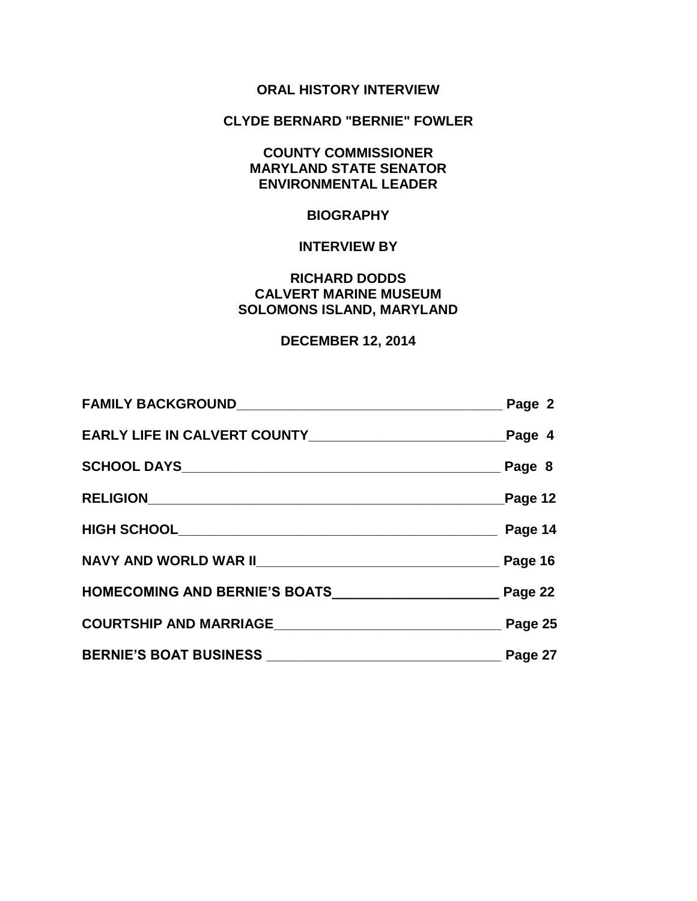# **ORAL HISTORY INTERVIEW**

## **CLYDE BERNARD "BERNIE" FOWLER**

# **COUNTY COMMISSIONER MARYLAND STATE SENATOR ENVIRONMENTAL LEADER**

# **BIOGRAPHY**

### **INTERVIEW BY**

## **RICHARD DODDS CALVERT MARINE MUSEUM SOLOMONS ISLAND, MARYLAND**

# **DECEMBER 12, 2014**

|                                | Page 2  |
|--------------------------------|---------|
|                                |         |
|                                |         |
|                                | Page 12 |
|                                | Page 14 |
|                                |         |
|                                |         |
| COURTSHIP AND MARRIAGE Page 25 |         |
|                                |         |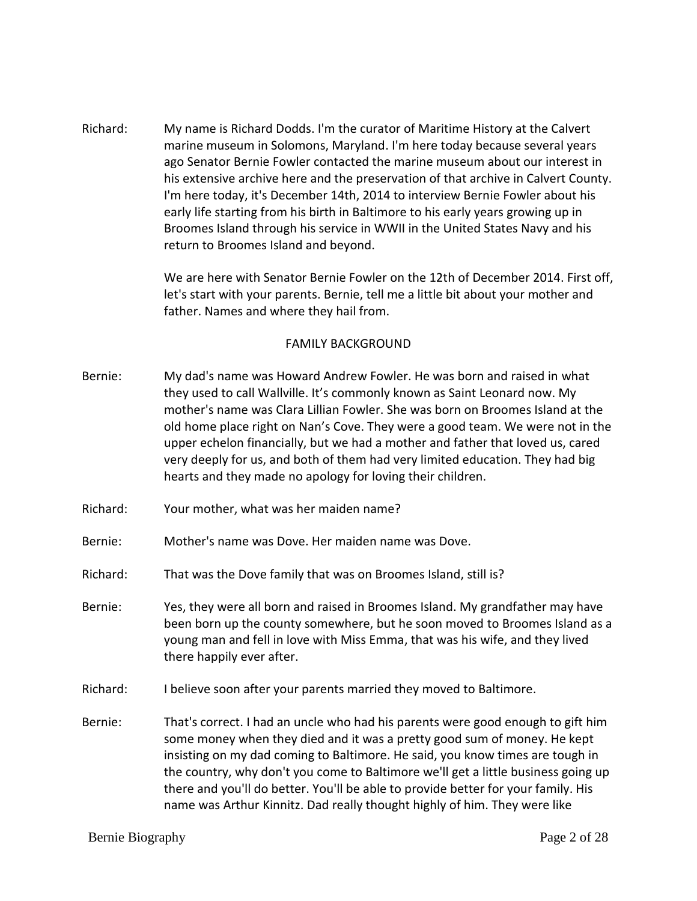Richard: My name is Richard Dodds. I'm the curator of Maritime History at the Calvert marine museum in Solomons, Maryland. I'm here today because several years ago Senator Bernie Fowler contacted the marine museum about our interest in his extensive archive here and the preservation of that archive in Calvert County. I'm here today, it's December 14th, 2014 to interview Bernie Fowler about his early life starting from his birth in Baltimore to his early years growing up in Broomes Island through his service in WWII in the United States Navy and his return to Broomes Island and beyond.

> We are here with Senator Bernie Fowler on the 12th of December 2014. First off, let's start with your parents. Bernie, tell me a little bit about your mother and father. Names and where they hail from.

### FAMILY BACKGROUND

- Bernie: My dad's name was Howard Andrew Fowler. He was born and raised in what they used to call Wallville. It's commonly known as Saint Leonard now. My mother's name was Clara Lillian Fowler. She was born on Broomes Island at the old home place right on Nan's Cove. They were a good team. We were not in the upper echelon financially, but we had a mother and father that loved us, cared very deeply for us, and both of them had very limited education. They had big hearts and they made no apology for loving their children.
- Richard: Your mother, what was her maiden name?
- Bernie: Mother's name was Dove. Her maiden name was Dove.
- Richard: That was the Dove family that was on Broomes Island, still is?
- Bernie: Yes, they were all born and raised in Broomes Island. My grandfather may have been born up the county somewhere, but he soon moved to Broomes Island as a young man and fell in love with Miss Emma, that was his wife, and they lived there happily ever after.
- Richard: I believe soon after your parents married they moved to Baltimore.
- Bernie: That's correct. I had an uncle who had his parents were good enough to gift him some money when they died and it was a pretty good sum of money. He kept insisting on my dad coming to Baltimore. He said, you know times are tough in the country, why don't you come to Baltimore we'll get a little business going up there and you'll do better. You'll be able to provide better for your family. His name was Arthur Kinnitz. Dad really thought highly of him. They were like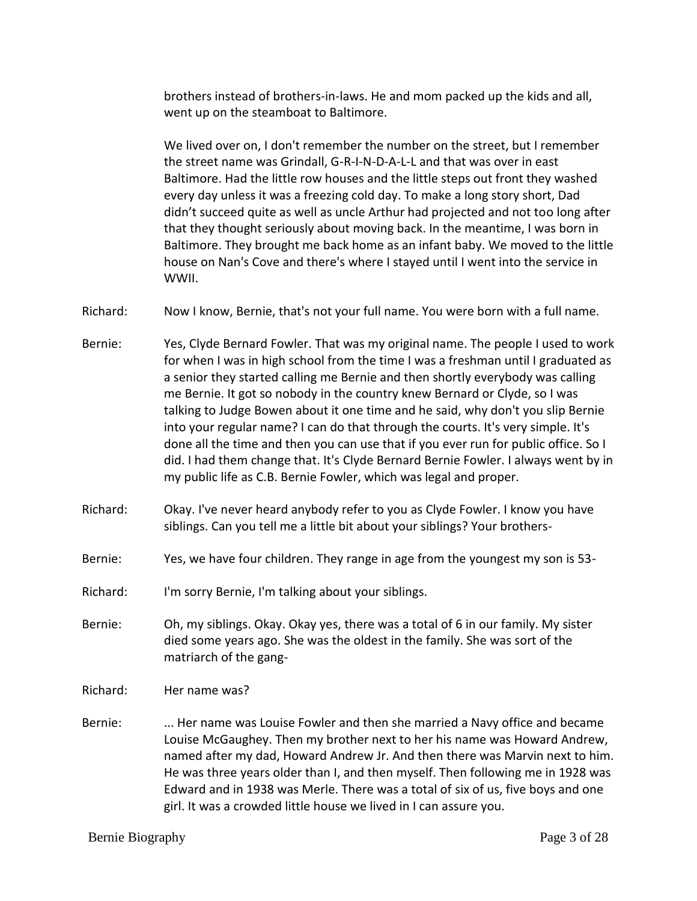brothers instead of brothers-in-laws. He and mom packed up the kids and all, went up on the steamboat to Baltimore.

We lived over on, I don't remember the number on the street, but I remember the street name was Grindall, G-R-I-N-D-A-L-L and that was over in east Baltimore. Had the little row houses and the little steps out front they washed every day unless it was a freezing cold day. To make a long story short, Dad didn't succeed quite as well as uncle Arthur had projected and not too long after that they thought seriously about moving back. In the meantime, I was born in Baltimore. They brought me back home as an infant baby. We moved to the little house on Nan's Cove and there's where I stayed until I went into the service in WWII.

Richard: Now I know, Bernie, that's not your full name. You were born with a full name.

- Bernie: Yes, Clyde Bernard Fowler. That was my original name. The people I used to work for when I was in high school from the time I was a freshman until I graduated as a senior they started calling me Bernie and then shortly everybody was calling me Bernie. It got so nobody in the country knew Bernard or Clyde, so I was talking to Judge Bowen about it one time and he said, why don't you slip Bernie into your regular name? I can do that through the courts. It's very simple. It's done all the time and then you can use that if you ever run for public office. So I did. I had them change that. It's Clyde Bernard Bernie Fowler. I always went by in my public life as C.B. Bernie Fowler, which was legal and proper.
- Richard: Okay. I've never heard anybody refer to you as Clyde Fowler. I know you have siblings. Can you tell me a little bit about your siblings? Your brothers-
- Bernie: Yes, we have four children. They range in age from the youngest my son is 53-
- Richard: I'm sorry Bernie, I'm talking about your siblings.
- Bernie: Oh, my siblings. Okay. Okay yes, there was a total of 6 in our family. My sister died some years ago. She was the oldest in the family. She was sort of the matriarch of the gang-
- Richard: Her name was?
- Bernie: ... Her name was Louise Fowler and then she married a Navy office and became Louise McGaughey. Then my brother next to her his name was Howard Andrew, named after my dad, Howard Andrew Jr. And then there was Marvin next to him. He was three years older than I, and then myself. Then following me in 1928 was Edward and in 1938 was Merle. There was a total of six of us, five boys and one girl. It was a crowded little house we lived in I can assure you.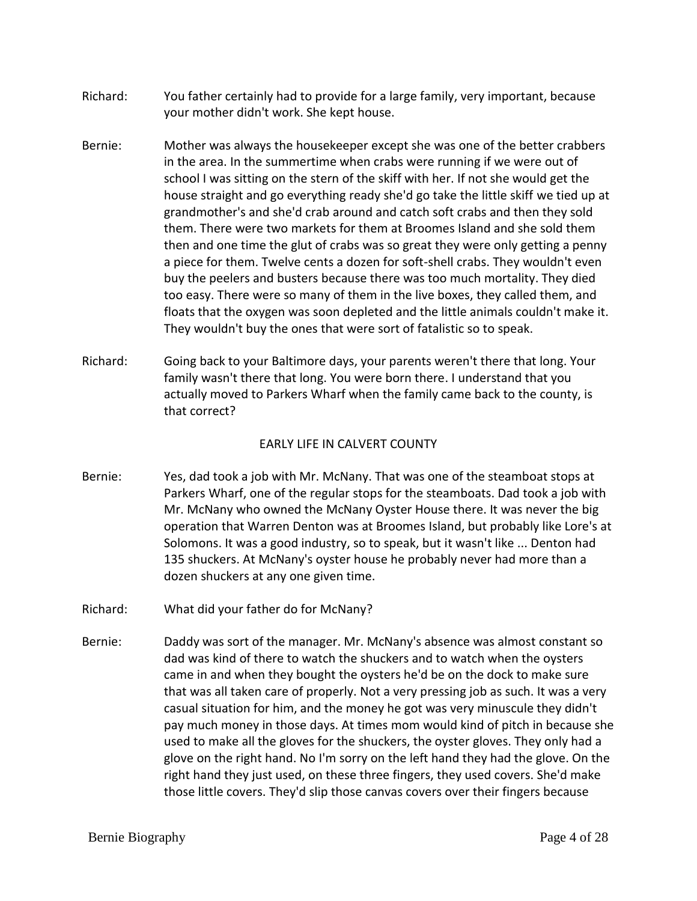- Richard: You father certainly had to provide for a large family, very important, because your mother didn't work. She kept house.
- Bernie: Mother was always the housekeeper except she was one of the better crabbers in the area. In the summertime when crabs were running if we were out of school I was sitting on the stern of the skiff with her. If not she would get the house straight and go everything ready she'd go take the little skiff we tied up at grandmother's and she'd crab around and catch soft crabs and then they sold them. There were two markets for them at Broomes Island and she sold them then and one time the glut of crabs was so great they were only getting a penny a piece for them. Twelve cents a dozen for soft-shell crabs. They wouldn't even buy the peelers and busters because there was too much mortality. They died too easy. There were so many of them in the live boxes, they called them, and floats that the oxygen was soon depleted and the little animals couldn't make it. They wouldn't buy the ones that were sort of fatalistic so to speak.
- Richard: Going back to your Baltimore days, your parents weren't there that long. Your family wasn't there that long. You were born there. I understand that you actually moved to Parkers Wharf when the family came back to the county, is that correct?

### EARLY LIFE IN CALVERT COUNTY

- Bernie: Yes, dad took a job with Mr. McNany. That was one of the steamboat stops at Parkers Wharf, one of the regular stops for the steamboats. Dad took a job with Mr. McNany who owned the McNany Oyster House there. It was never the big operation that Warren Denton was at Broomes Island, but probably like Lore's at Solomons. It was a good industry, so to speak, but it wasn't like ... Denton had 135 shuckers. At McNany's oyster house he probably never had more than a dozen shuckers at any one given time.
- Richard: What did your father do for McNany?
- Bernie: Daddy was sort of the manager. Mr. McNany's absence was almost constant so dad was kind of there to watch the shuckers and to watch when the oysters came in and when they bought the oysters he'd be on the dock to make sure that was all taken care of properly. Not a very pressing job as such. It was a very casual situation for him, and the money he got was very minuscule they didn't pay much money in those days. At times mom would kind of pitch in because she used to make all the gloves for the shuckers, the oyster gloves. They only had a glove on the right hand. No I'm sorry on the left hand they had the glove. On the right hand they just used, on these three fingers, they used covers. She'd make those little covers. They'd slip those canvas covers over their fingers because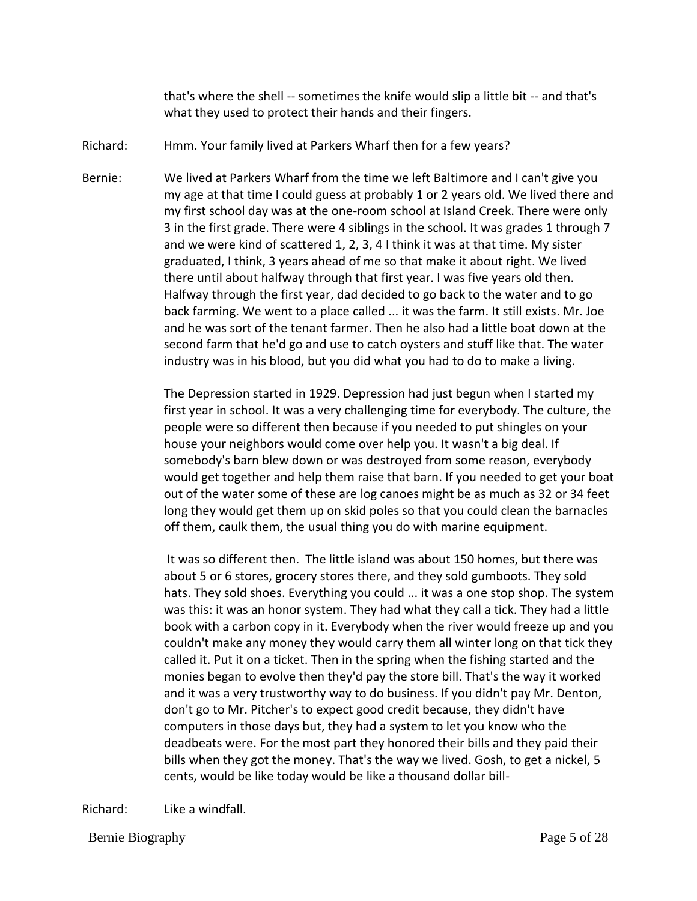that's where the shell -- sometimes the knife would slip a little bit -- and that's what they used to protect their hands and their fingers.

- Richard: Hmm. Your family lived at Parkers Wharf then for a few years?
- Bernie: We lived at Parkers Wharf from the time we left Baltimore and I can't give you my age at that time I could guess at probably 1 or 2 years old. We lived there and my first school day was at the one-room school at Island Creek. There were only 3 in the first grade. There were 4 siblings in the school. It was grades 1 through 7 and we were kind of scattered 1, 2, 3, 4 I think it was at that time. My sister graduated, I think, 3 years ahead of me so that make it about right. We lived there until about halfway through that first year. I was five years old then. Halfway through the first year, dad decided to go back to the water and to go back farming. We went to a place called ... it was the farm. It still exists. Mr. Joe and he was sort of the tenant farmer. Then he also had a little boat down at the second farm that he'd go and use to catch oysters and stuff like that. The water industry was in his blood, but you did what you had to do to make a living.

The Depression started in 1929. Depression had just begun when I started my first year in school. It was a very challenging time for everybody. The culture, the people were so different then because if you needed to put shingles on your house your neighbors would come over help you. It wasn't a big deal. If somebody's barn blew down or was destroyed from some reason, everybody would get together and help them raise that barn. If you needed to get your boat out of the water some of these are log canoes might be as much as 32 or 34 feet long they would get them up on skid poles so that you could clean the barnacles off them, caulk them, the usual thing you do with marine equipment.

It was so different then. The little island was about 150 homes, but there was about 5 or 6 stores, grocery stores there, and they sold gumboots. They sold hats. They sold shoes. Everything you could ... it was a one stop shop. The system was this: it was an honor system. They had what they call a tick. They had a little book with a carbon copy in it. Everybody when the river would freeze up and you couldn't make any money they would carry them all winter long on that tick they called it. Put it on a ticket. Then in the spring when the fishing started and the monies began to evolve then they'd pay the store bill. That's the way it worked and it was a very trustworthy way to do business. If you didn't pay Mr. Denton, don't go to Mr. Pitcher's to expect good credit because, they didn't have computers in those days but, they had a system to let you know who the deadbeats were. For the most part they honored their bills and they paid their bills when they got the money. That's the way we lived. Gosh, to get a nickel, 5 cents, would be like today would be like a thousand dollar bill-

Richard: Like a windfall.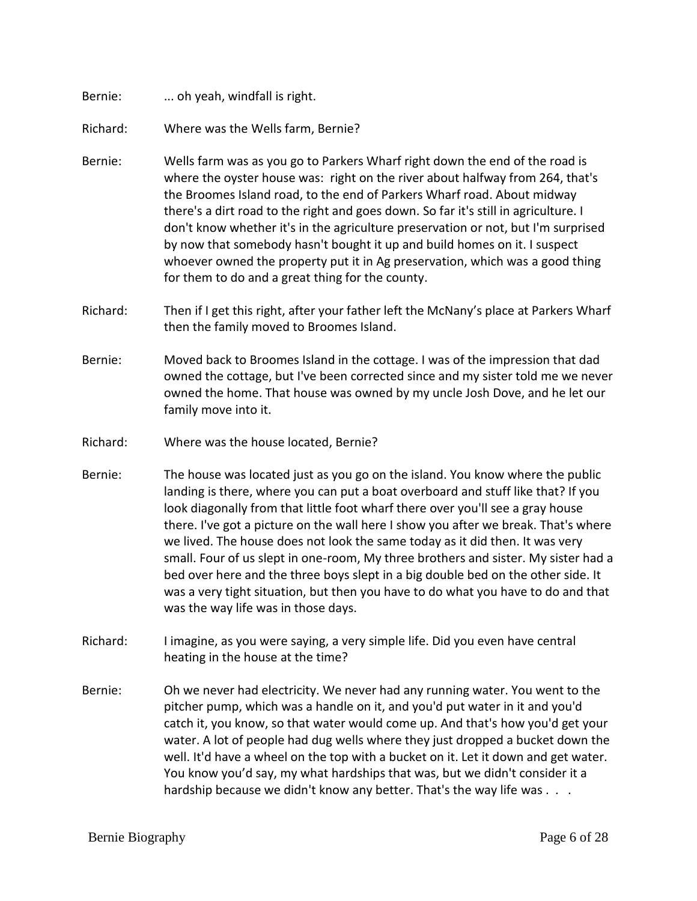Bernie: ... oh yeah, windfall is right.

Richard: Where was the Wells farm, Bernie?

- Bernie: Wells farm was as you go to Parkers Wharf right down the end of the road is where the oyster house was: right on the river about halfway from 264, that's the Broomes Island road, to the end of Parkers Wharf road. About midway there's a dirt road to the right and goes down. So far it's still in agriculture. I don't know whether it's in the agriculture preservation or not, but I'm surprised by now that somebody hasn't bought it up and build homes on it. I suspect whoever owned the property put it in Ag preservation, which was a good thing for them to do and a great thing for the county.
- Richard: Then if I get this right, after your father left the McNany's place at Parkers Wharf then the family moved to Broomes Island.
- Bernie: Moved back to Broomes Island in the cottage. I was of the impression that dad owned the cottage, but I've been corrected since and my sister told me we never owned the home. That house was owned by my uncle Josh Dove, and he let our family move into it.
- Richard: Where was the house located, Bernie?
- Bernie: The house was located just as you go on the island. You know where the public landing is there, where you can put a boat overboard and stuff like that? If you look diagonally from that little foot wharf there over you'll see a gray house there. I've got a picture on the wall here I show you after we break. That's where we lived. The house does not look the same today as it did then. It was very small. Four of us slept in one-room, My three brothers and sister. My sister had a bed over here and the three boys slept in a big double bed on the other side. It was a very tight situation, but then you have to do what you have to do and that was the way life was in those days.
- Richard: I imagine, as you were saying, a very simple life. Did you even have central heating in the house at the time?
- Bernie: Oh we never had electricity. We never had any running water. You went to the pitcher pump, which was a handle on it, and you'd put water in it and you'd catch it, you know, so that water would come up. And that's how you'd get your water. A lot of people had dug wells where they just dropped a bucket down the well. It'd have a wheel on the top with a bucket on it. Let it down and get water. You know you'd say, my what hardships that was, but we didn't consider it a hardship because we didn't know any better. That's the way life was . . .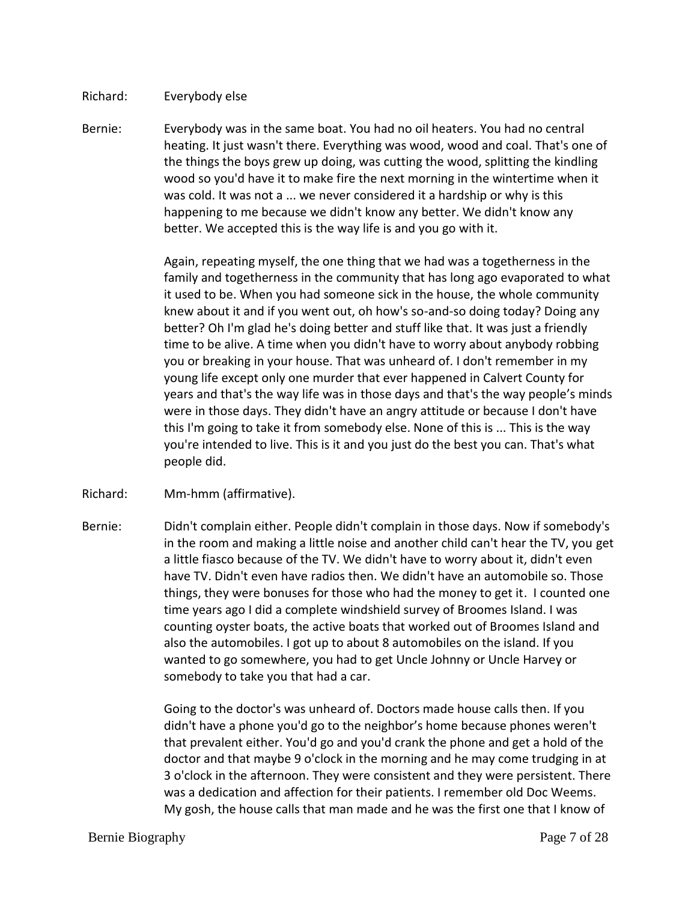### Richard: Everybody else

Bernie: Everybody was in the same boat. You had no oil heaters. You had no central heating. It just wasn't there. Everything was wood, wood and coal. That's one of the things the boys grew up doing, was cutting the wood, splitting the kindling wood so you'd have it to make fire the next morning in the wintertime when it was cold. It was not a ... we never considered it a hardship or why is this happening to me because we didn't know any better. We didn't know any better. We accepted this is the way life is and you go with it.

> Again, repeating myself, the one thing that we had was a togetherness in the family and togetherness in the community that has long ago evaporated to what it used to be. When you had someone sick in the house, the whole community knew about it and if you went out, oh how's so-and-so doing today? Doing any better? Oh I'm glad he's doing better and stuff like that. It was just a friendly time to be alive. A time when you didn't have to worry about anybody robbing you or breaking in your house. That was unheard of. I don't remember in my young life except only one murder that ever happened in Calvert County for years and that's the way life was in those days and that's the way people's minds were in those days. They didn't have an angry attitude or because I don't have this I'm going to take it from somebody else. None of this is ... This is the way you're intended to live. This is it and you just do the best you can. That's what people did.

- Richard: Mm-hmm (affirmative).
- Bernie: Didn't complain either. People didn't complain in those days. Now if somebody's in the room and making a little noise and another child can't hear the TV, you get a little fiasco because of the TV. We didn't have to worry about it, didn't even have TV. Didn't even have radios then. We didn't have an automobile so. Those things, they were bonuses for those who had the money to get it. I counted one time years ago I did a complete windshield survey of Broomes Island. I was counting oyster boats, the active boats that worked out of Broomes Island and also the automobiles. I got up to about 8 automobiles on the island. If you wanted to go somewhere, you had to get Uncle Johnny or Uncle Harvey or somebody to take you that had a car.

Going to the doctor's was unheard of. Doctors made house calls then. If you didn't have a phone you'd go to the neighbor's home because phones weren't that prevalent either. You'd go and you'd crank the phone and get a hold of the doctor and that maybe 9 o'clock in the morning and he may come trudging in at 3 o'clock in the afternoon. They were consistent and they were persistent. There was a dedication and affection for their patients. I remember old Doc Weems. My gosh, the house calls that man made and he was the first one that I know of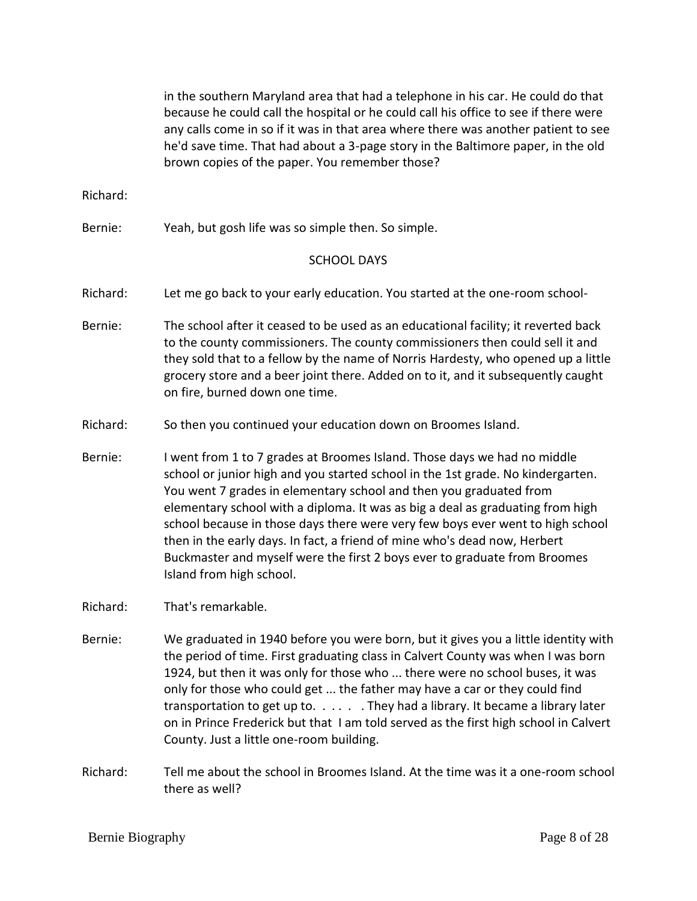|          | in the southern Maryland area that had a telephone in his car. He could do that<br>because he could call the hospital or he could call his office to see if there were<br>any calls come in so if it was in that area where there was another patient to see<br>he'd save time. That had about a 3-page story in the Baltimore paper, in the old<br>brown copies of the paper. You remember those?                                                                                                                                                                                          |
|----------|---------------------------------------------------------------------------------------------------------------------------------------------------------------------------------------------------------------------------------------------------------------------------------------------------------------------------------------------------------------------------------------------------------------------------------------------------------------------------------------------------------------------------------------------------------------------------------------------|
| Richard: |                                                                                                                                                                                                                                                                                                                                                                                                                                                                                                                                                                                             |
| Bernie:  | Yeah, but gosh life was so simple then. So simple.                                                                                                                                                                                                                                                                                                                                                                                                                                                                                                                                          |
|          | <b>SCHOOL DAYS</b>                                                                                                                                                                                                                                                                                                                                                                                                                                                                                                                                                                          |
| Richard: | Let me go back to your early education. You started at the one-room school-                                                                                                                                                                                                                                                                                                                                                                                                                                                                                                                 |
| Bernie:  | The school after it ceased to be used as an educational facility; it reverted back<br>to the county commissioners. The county commissioners then could sell it and<br>they sold that to a fellow by the name of Norris Hardesty, who opened up a little<br>grocery store and a beer joint there. Added on to it, and it subsequently caught<br>on fire, burned down one time.                                                                                                                                                                                                               |
| Richard: | So then you continued your education down on Broomes Island.                                                                                                                                                                                                                                                                                                                                                                                                                                                                                                                                |
| Bernie:  | I went from 1 to 7 grades at Broomes Island. Those days we had no middle<br>school or junior high and you started school in the 1st grade. No kindergarten.<br>You went 7 grades in elementary school and then you graduated from<br>elementary school with a diploma. It was as big a deal as graduating from high<br>school because in those days there were very few boys ever went to high school<br>then in the early days. In fact, a friend of mine who's dead now, Herbert<br>Buckmaster and myself were the first 2 boys ever to graduate from Broomes<br>Island from high school. |
| Richard: | That's remarkable.                                                                                                                                                                                                                                                                                                                                                                                                                                                                                                                                                                          |
| Bernie:  | We graduated in 1940 before you were born, but it gives you a little identity with<br>the period of time. First graduating class in Calvert County was when I was born<br>1924, but then it was only for those who  there were no school buses, it was<br>only for those who could get  the father may have a car or they could find<br>transportation to get up to. They had a library. It became a library later<br>on in Prince Frederick but that I am told served as the first high school in Calvert<br>County. Just a little one-room building.                                      |
| Richard: | Tell me about the school in Broomes Island. At the time was it a one-room school<br>there as well?                                                                                                                                                                                                                                                                                                                                                                                                                                                                                          |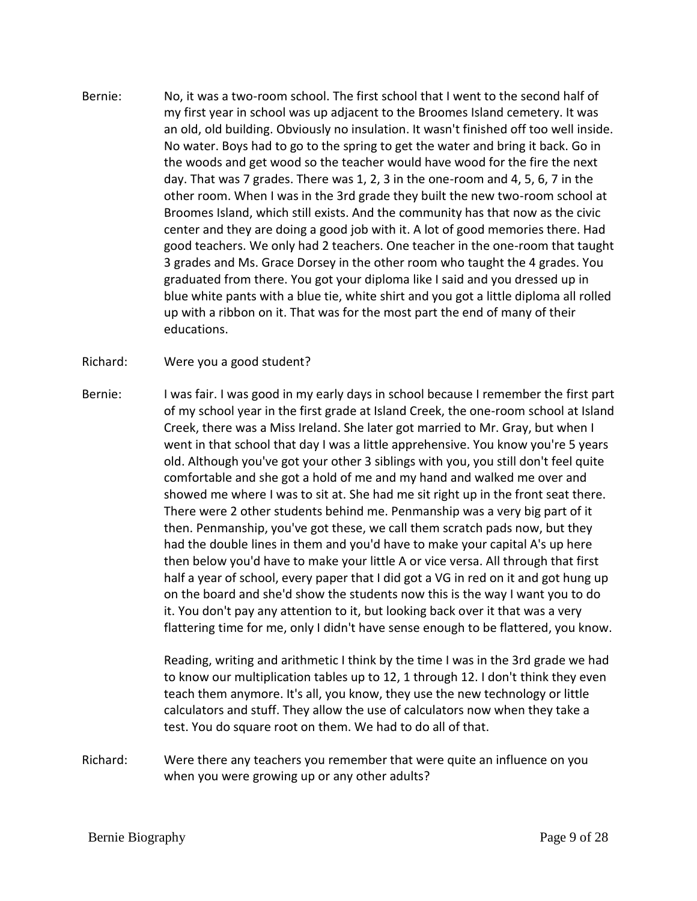- Bernie: No, it was a two-room school. The first school that I went to the second half of my first year in school was up adjacent to the Broomes Island cemetery. It was an old, old building. Obviously no insulation. It wasn't finished off too well inside. No water. Boys had to go to the spring to get the water and bring it back. Go in the woods and get wood so the teacher would have wood for the fire the next day. That was 7 grades. There was 1, 2, 3 in the one-room and 4, 5, 6, 7 in the other room. When I was in the 3rd grade they built the new two-room school at Broomes Island, which still exists. And the community has that now as the civic center and they are doing a good job with it. A lot of good memories there. Had good teachers. We only had 2 teachers. One teacher in the one-room that taught 3 grades and Ms. Grace Dorsey in the other room who taught the 4 grades. You graduated from there. You got your diploma like I said and you dressed up in blue white pants with a blue tie, white shirt and you got a little diploma all rolled up with a ribbon on it. That was for the most part the end of many of their educations.
- Richard: Were you a good student?
- Bernie: I was fair. I was good in my early days in school because I remember the first part of my school year in the first grade at Island Creek, the one-room school at Island Creek, there was a Miss Ireland. She later got married to Mr. Gray, but when I went in that school that day I was a little apprehensive. You know you're 5 years old. Although you've got your other 3 siblings with you, you still don't feel quite comfortable and she got a hold of me and my hand and walked me over and showed me where I was to sit at. She had me sit right up in the front seat there. There were 2 other students behind me. Penmanship was a very big part of it then. Penmanship, you've got these, we call them scratch pads now, but they had the double lines in them and you'd have to make your capital A's up here then below you'd have to make your little A or vice versa. All through that first half a year of school, every paper that I did got a VG in red on it and got hung up on the board and she'd show the students now this is the way I want you to do it. You don't pay any attention to it, but looking back over it that was a very flattering time for me, only I didn't have sense enough to be flattered, you know.

Reading, writing and arithmetic I think by the time I was in the 3rd grade we had to know our multiplication tables up to 12, 1 through 12. I don't think they even teach them anymore. It's all, you know, they use the new technology or little calculators and stuff. They allow the use of calculators now when they take a test. You do square root on them. We had to do all of that.

Richard: Were there any teachers you remember that were quite an influence on you when you were growing up or any other adults?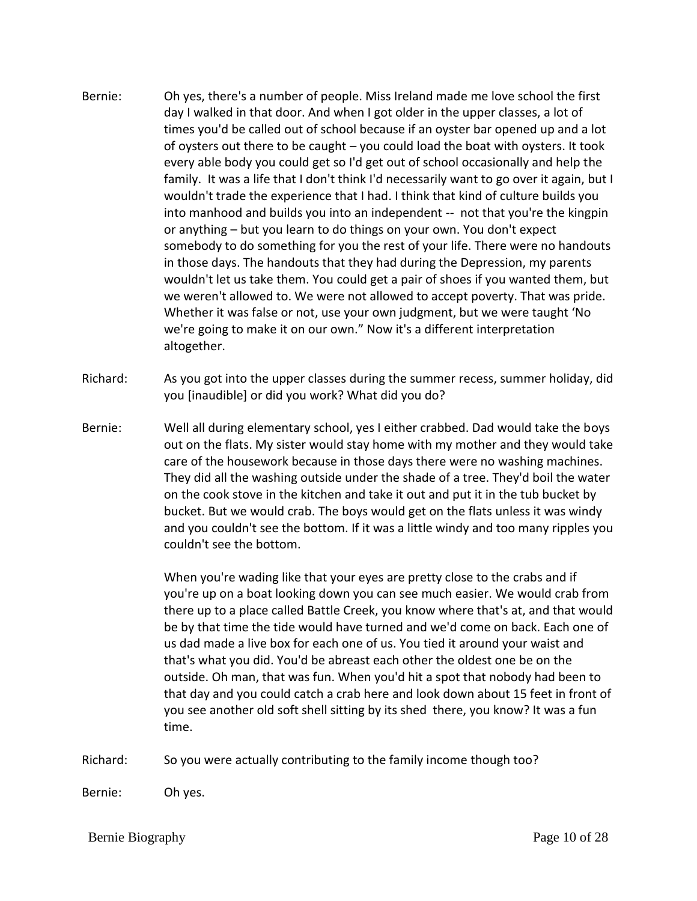- Bernie: Oh yes, there's a number of people. Miss Ireland made me love school the first day I walked in that door. And when I got older in the upper classes, a lot of times you'd be called out of school because if an oyster bar opened up and a lot of oysters out there to be caught – you could load the boat with oysters. It took every able body you could get so I'd get out of school occasionally and help the family. It was a life that I don't think I'd necessarily want to go over it again, but I wouldn't trade the experience that I had. I think that kind of culture builds you into manhood and builds you into an independent -- not that you're the kingpin or anything – but you learn to do things on your own. You don't expect somebody to do something for you the rest of your life. There were no handouts in those days. The handouts that they had during the Depression, my parents wouldn't let us take them. You could get a pair of shoes if you wanted them, but we weren't allowed to. We were not allowed to accept poverty. That was pride. Whether it was false or not, use your own judgment, but we were taught 'No we're going to make it on our own." Now it's a different interpretation altogether.
- Richard: As you got into the upper classes during the summer recess, summer holiday, did you [inaudible] or did you work? What did you do?
- Bernie: Well all during elementary school, yes I either crabbed. Dad would take the boys out on the flats. My sister would stay home with my mother and they would take care of the housework because in those days there were no washing machines. They did all the washing outside under the shade of a tree. They'd boil the water on the cook stove in the kitchen and take it out and put it in the tub bucket by bucket. But we would crab. The boys would get on the flats unless it was windy and you couldn't see the bottom. If it was a little windy and too many ripples you couldn't see the bottom.

When you're wading like that your eyes are pretty close to the crabs and if you're up on a boat looking down you can see much easier. We would crab from there up to a place called Battle Creek, you know where that's at, and that would be by that time the tide would have turned and we'd come on back. Each one of us dad made a live box for each one of us. You tied it around your waist and that's what you did. You'd be abreast each other the oldest one be on the outside. Oh man, that was fun. When you'd hit a spot that nobody had been to that day and you could catch a crab here and look down about 15 feet in front of you see another old soft shell sitting by its shed there, you know? It was a fun time.

Richard: So you were actually contributing to the family income though too?

Bernie: Oh yes.

Bernie Biography Page 10 of 28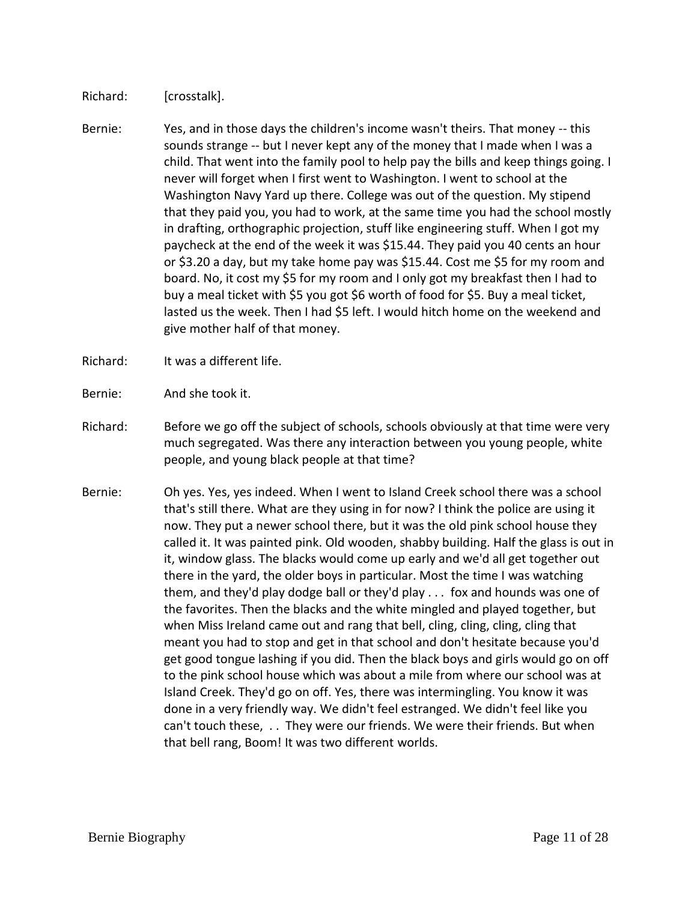Richard: [crosstalk].

- Bernie: Yes, and in those days the children's income wasn't theirs. That money -- this sounds strange -- but I never kept any of the money that I made when I was a child. That went into the family pool to help pay the bills and keep things going. I never will forget when I first went to Washington. I went to school at the Washington Navy Yard up there. College was out of the question. My stipend that they paid you, you had to work, at the same time you had the school mostly in drafting, orthographic projection, stuff like engineering stuff. When I got my paycheck at the end of the week it was \$15.44. They paid you 40 cents an hour or \$3.20 a day, but my take home pay was \$15.44. Cost me \$5 for my room and board. No, it cost my \$5 for my room and I only got my breakfast then I had to buy a meal ticket with \$5 you got \$6 worth of food for \$5. Buy a meal ticket, lasted us the week. Then I had \$5 left. I would hitch home on the weekend and give mother half of that money.
- Richard: It was a different life.
- Bernie: And she took it.
- Richard: Before we go off the subject of schools, schools obviously at that time were very much segregated. Was there any interaction between you young people, white people, and young black people at that time?
- Bernie: Oh yes. Yes, yes indeed. When I went to Island Creek school there was a school that's still there. What are they using in for now? I think the police are using it now. They put a newer school there, but it was the old pink school house they called it. It was painted pink. Old wooden, shabby building. Half the glass is out in it, window glass. The blacks would come up early and we'd all get together out there in the yard, the older boys in particular. Most the time I was watching them, and they'd play dodge ball or they'd play . . . fox and hounds was one of the favorites. Then the blacks and the white mingled and played together, but when Miss Ireland came out and rang that bell, cling, cling, cling, cling that meant you had to stop and get in that school and don't hesitate because you'd get good tongue lashing if you did. Then the black boys and girls would go on off to the pink school house which was about a mile from where our school was at Island Creek. They'd go on off. Yes, there was intermingling. You know it was done in a very friendly way. We didn't feel estranged. We didn't feel like you can't touch these, . . They were our friends. We were their friends. But when that bell rang, Boom! It was two different worlds.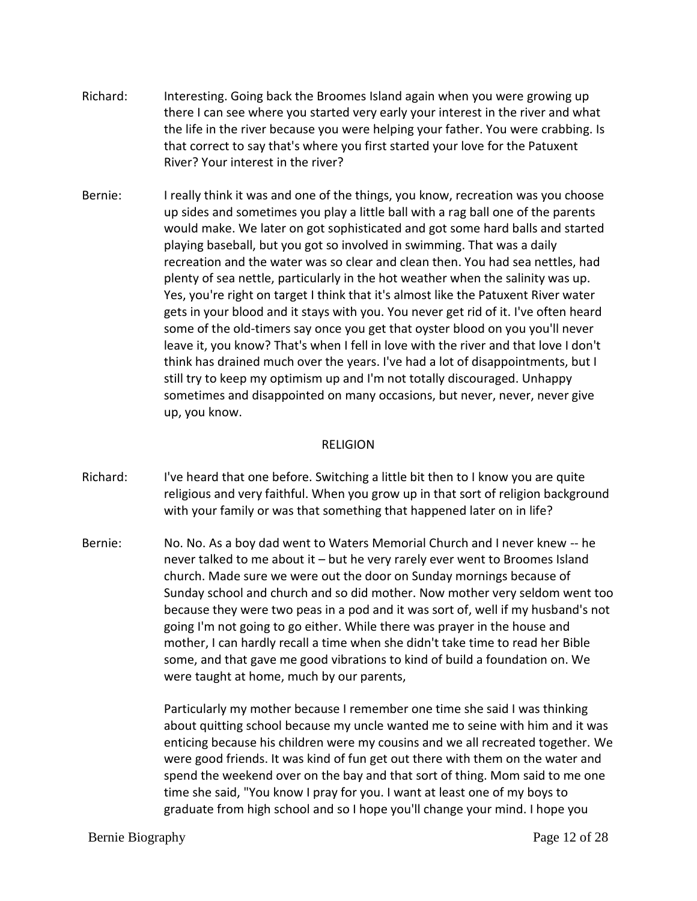- Richard: Interesting. Going back the Broomes Island again when you were growing up there I can see where you started very early your interest in the river and what the life in the river because you were helping your father. You were crabbing. Is that correct to say that's where you first started your love for the Patuxent River? Your interest in the river?
- Bernie: I really think it was and one of the things, you know, recreation was you choose up sides and sometimes you play a little ball with a rag ball one of the parents would make. We later on got sophisticated and got some hard balls and started playing baseball, but you got so involved in swimming. That was a daily recreation and the water was so clear and clean then. You had sea nettles, had plenty of sea nettle, particularly in the hot weather when the salinity was up. Yes, you're right on target I think that it's almost like the Patuxent River water gets in your blood and it stays with you. You never get rid of it. I've often heard some of the old-timers say once you get that oyster blood on you you'll never leave it, you know? That's when I fell in love with the river and that love I don't think has drained much over the years. I've had a lot of disappointments, but I still try to keep my optimism up and I'm not totally discouraged. Unhappy sometimes and disappointed on many occasions, but never, never, never give up, you know.

### RELIGION

- Richard: I've heard that one before. Switching a little bit then to I know you are quite religious and very faithful. When you grow up in that sort of religion background with your family or was that something that happened later on in life?
- Bernie: No. No. As a boy dad went to Waters Memorial Church and I never knew -- he never talked to me about it – but he very rarely ever went to Broomes Island church. Made sure we were out the door on Sunday mornings because of Sunday school and church and so did mother. Now mother very seldom went too because they were two peas in a pod and it was sort of, well if my husband's not going I'm not going to go either. While there was prayer in the house and mother, I can hardly recall a time when she didn't take time to read her Bible some, and that gave me good vibrations to kind of build a foundation on. We were taught at home, much by our parents,

Particularly my mother because I remember one time she said I was thinking about quitting school because my uncle wanted me to seine with him and it was enticing because his children were my cousins and we all recreated together. We were good friends. It was kind of fun get out there with them on the water and spend the weekend over on the bay and that sort of thing. Mom said to me one time she said, "You know I pray for you. I want at least one of my boys to graduate from high school and so I hope you'll change your mind. I hope you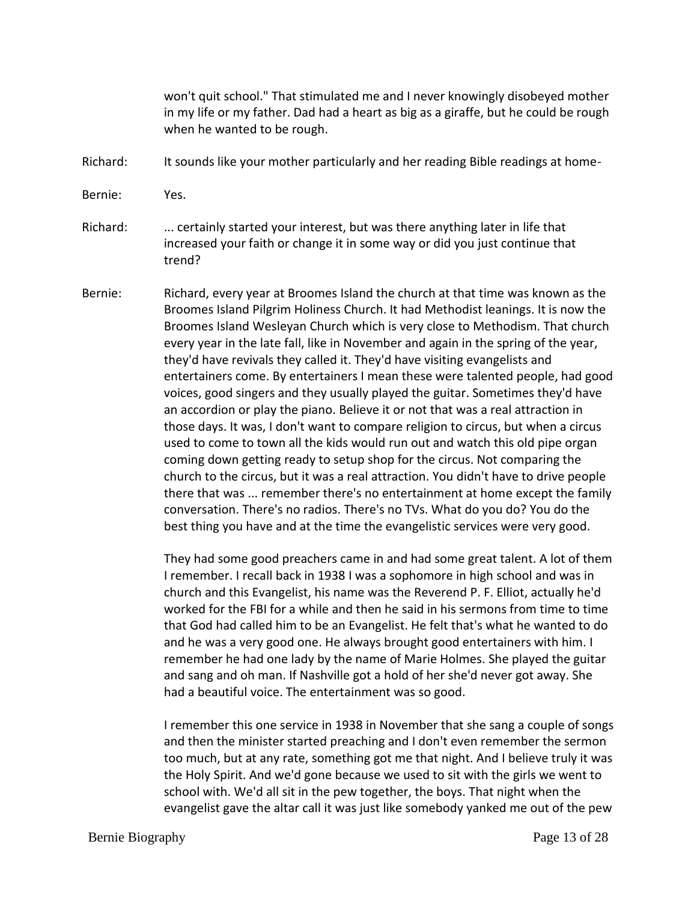won't quit school." That stimulated me and I never knowingly disobeyed mother in my life or my father. Dad had a heart as big as a giraffe, but he could be rough when he wanted to be rough.

- Richard: It sounds like your mother particularly and her reading Bible readings at home-
- Bernie: Yes.

Richard: ... certainly started your interest, but was there anything later in life that increased your faith or change it in some way or did you just continue that trend?

Bernie: Richard, every year at Broomes Island the church at that time was known as the Broomes Island Pilgrim Holiness Church. It had Methodist leanings. It is now the Broomes Island Wesleyan Church which is very close to Methodism. That church every year in the late fall, like in November and again in the spring of the year, they'd have revivals they called it. They'd have visiting evangelists and entertainers come. By entertainers I mean these were talented people, had good voices, good singers and they usually played the guitar. Sometimes they'd have an accordion or play the piano. Believe it or not that was a real attraction in those days. It was, I don't want to compare religion to circus, but when a circus used to come to town all the kids would run out and watch this old pipe organ coming down getting ready to setup shop for the circus. Not comparing the church to the circus, but it was a real attraction. You didn't have to drive people there that was ... remember there's no entertainment at home except the family conversation. There's no radios. There's no TVs. What do you do? You do the best thing you have and at the time the evangelistic services were very good.

> They had some good preachers came in and had some great talent. A lot of them I remember. I recall back in 1938 I was a sophomore in high school and was in church and this Evangelist, his name was the Reverend P. F. Elliot, actually he'd worked for the FBI for a while and then he said in his sermons from time to time that God had called him to be an Evangelist. He felt that's what he wanted to do and he was a very good one. He always brought good entertainers with him. I remember he had one lady by the name of Marie Holmes. She played the guitar and sang and oh man. If Nashville got a hold of her she'd never got away. She had a beautiful voice. The entertainment was so good.

> I remember this one service in 1938 in November that she sang a couple of songs and then the minister started preaching and I don't even remember the sermon too much, but at any rate, something got me that night. And I believe truly it was the Holy Spirit. And we'd gone because we used to sit with the girls we went to school with. We'd all sit in the pew together, the boys. That night when the evangelist gave the altar call it was just like somebody yanked me out of the pew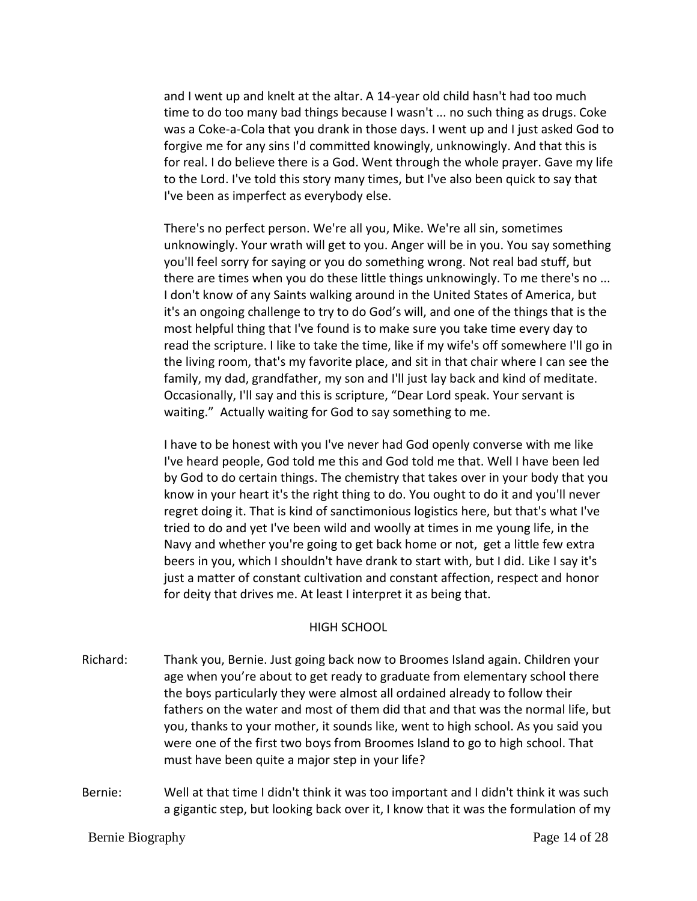and I went up and knelt at the altar. A 14-year old child hasn't had too much time to do too many bad things because I wasn't ... no such thing as drugs. Coke was a Coke-a-Cola that you drank in those days. I went up and I just asked God to forgive me for any sins I'd committed knowingly, unknowingly. And that this is for real. I do believe there is a God. Went through the whole prayer. Gave my life to the Lord. I've told this story many times, but I've also been quick to say that I've been as imperfect as everybody else.

There's no perfect person. We're all you, Mike. We're all sin, sometimes unknowingly. Your wrath will get to you. Anger will be in you. You say something you'll feel sorry for saying or you do something wrong. Not real bad stuff, but there are times when you do these little things unknowingly. To me there's no ... I don't know of any Saints walking around in the United States of America, but it's an ongoing challenge to try to do God's will, and one of the things that is the most helpful thing that I've found is to make sure you take time every day to read the scripture. I like to take the time, like if my wife's off somewhere I'll go in the living room, that's my favorite place, and sit in that chair where I can see the family, my dad, grandfather, my son and I'll just lay back and kind of meditate. Occasionally, I'll say and this is scripture, "Dear Lord speak. Your servant is waiting." Actually waiting for God to say something to me.

I have to be honest with you I've never had God openly converse with me like I've heard people, God told me this and God told me that. Well I have been led by God to do certain things. The chemistry that takes over in your body that you know in your heart it's the right thing to do. You ought to do it and you'll never regret doing it. That is kind of sanctimonious logistics here, but that's what I've tried to do and yet I've been wild and woolly at times in me young life, in the Navy and whether you're going to get back home or not, get a little few extra beers in you, which I shouldn't have drank to start with, but I did. Like I say it's just a matter of constant cultivation and constant affection, respect and honor for deity that drives me. At least I interpret it as being that.

#### HIGH SCHOOL

- Richard: Thank you, Bernie. Just going back now to Broomes Island again. Children your age when you're about to get ready to graduate from elementary school there the boys particularly they were almost all ordained already to follow their fathers on the water and most of them did that and that was the normal life, but you, thanks to your mother, it sounds like, went to high school. As you said you were one of the first two boys from Broomes Island to go to high school. That must have been quite a major step in your life?
- Bernie: Well at that time I didn't think it was too important and I didn't think it was such a gigantic step, but looking back over it, I know that it was the formulation of my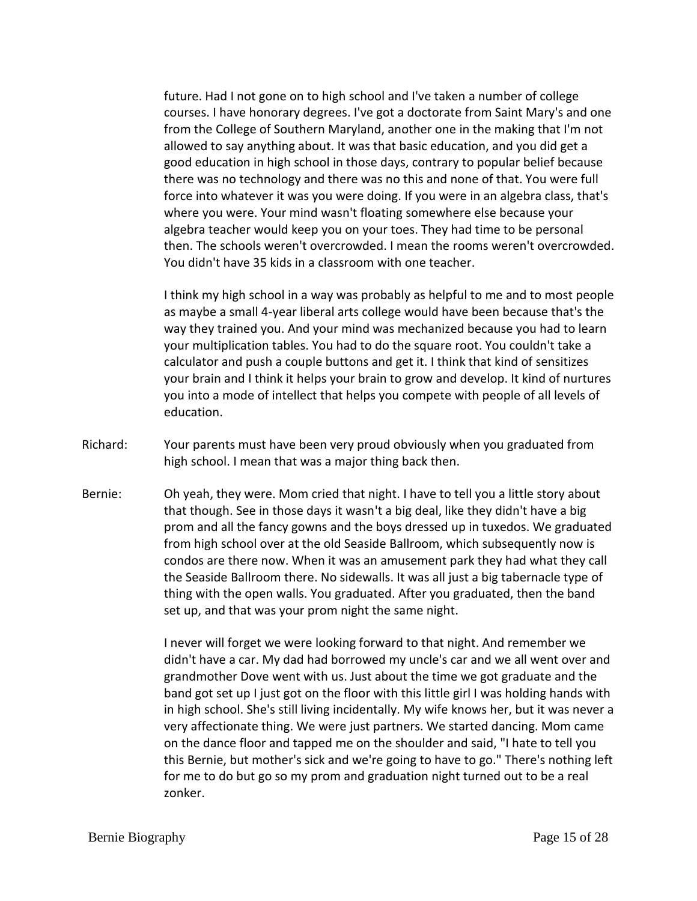future. Had I not gone on to high school and I've taken a number of college courses. I have honorary degrees. I've got a doctorate from Saint Mary's and one from the College of Southern Maryland, another one in the making that I'm not allowed to say anything about. It was that basic education, and you did get a good education in high school in those days, contrary to popular belief because there was no technology and there was no this and none of that. You were full force into whatever it was you were doing. If you were in an algebra class, that's where you were. Your mind wasn't floating somewhere else because your algebra teacher would keep you on your toes. They had time to be personal then. The schools weren't overcrowded. I mean the rooms weren't overcrowded. You didn't have 35 kids in a classroom with one teacher.

I think my high school in a way was probably as helpful to me and to most people as maybe a small 4-year liberal arts college would have been because that's the way they trained you. And your mind was mechanized because you had to learn your multiplication tables. You had to do the square root. You couldn't take a calculator and push a couple buttons and get it. I think that kind of sensitizes your brain and I think it helps your brain to grow and develop. It kind of nurtures you into a mode of intellect that helps you compete with people of all levels of education.

- Richard: Your parents must have been very proud obviously when you graduated from high school. I mean that was a major thing back then.
- Bernie: Oh yeah, they were. Mom cried that night. I have to tell you a little story about that though. See in those days it wasn't a big deal, like they didn't have a big prom and all the fancy gowns and the boys dressed up in tuxedos. We graduated from high school over at the old Seaside Ballroom, which subsequently now is condos are there now. When it was an amusement park they had what they call the Seaside Ballroom there. No sidewalls. It was all just a big tabernacle type of thing with the open walls. You graduated. After you graduated, then the band set up, and that was your prom night the same night.

I never will forget we were looking forward to that night. And remember we didn't have a car. My dad had borrowed my uncle's car and we all went over and grandmother Dove went with us. Just about the time we got graduate and the band got set up I just got on the floor with this little girl I was holding hands with in high school. She's still living incidentally. My wife knows her, but it was never a very affectionate thing. We were just partners. We started dancing. Mom came on the dance floor and tapped me on the shoulder and said, "I hate to tell you this Bernie, but mother's sick and we're going to have to go." There's nothing left for me to do but go so my prom and graduation night turned out to be a real zonker.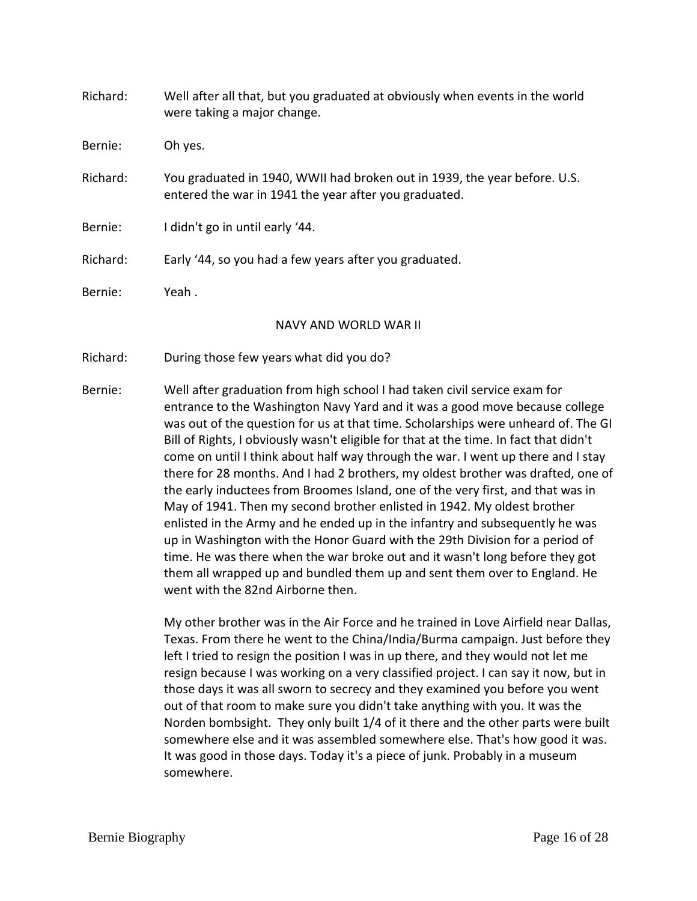| Richard: | Well after all that, but you graduated at obviously when events in the world<br>were taking a major change.                        |
|----------|------------------------------------------------------------------------------------------------------------------------------------|
| Bernie:  | Oh yes.                                                                                                                            |
| Richard: | You graduated in 1940, WWII had broken out in 1939, the year before. U.S.<br>entered the war in 1941 the year after you graduated. |
| Bernie:  | I didn't go in until early '44.                                                                                                    |
| Richard: | Early '44, so you had a few years after you graduated.                                                                             |
| Bernie:  | Yeah.                                                                                                                              |
|          | NAVY AND WORLD WAR II                                                                                                              |
| Richard: | During those few years what did you do?                                                                                            |

Bernie: Well after graduation from high school I had taken civil service exam for entrance to the Washington Navy Yard and it was a good move because college was out of the question for us at that time. Scholarships were unheard of. The GI Bill of Rights, I obviously wasn't eligible for that at the time. In fact that didn't come on until I think about half way through the war. I went up there and I stay there for 28 months. And I had 2 brothers, my oldest brother was drafted, one of the early inductees from Broomes Island, one of the very first, and that was in May of 1941. Then my second brother enlisted in 1942. My oldest brother enlisted in the Army and he ended up in the infantry and subsequently he was up in Washington with the Honor Guard with the 29th Division for a period of time. He was there when the war broke out and it wasn't long before they got them all wrapped up and bundled them up and sent them over to England. He went with the 82nd Airborne then.

> My other brother was in the Air Force and he trained in Love Airfield near Dallas, Texas. From there he went to the China/India/Burma campaign. Just before they left I tried to resign the position I was in up there, and they would not let me resign because I was working on a very classified project. I can say it now, but in those days it was all sworn to secrecy and they examined you before you went out of that room to make sure you didn't take anything with you. It was the Norden bombsight. They only built 1/4 of it there and the other parts were built somewhere else and it was assembled somewhere else. That's how good it was. It was good in those days. Today it's a piece of junk. Probably in a museum somewhere.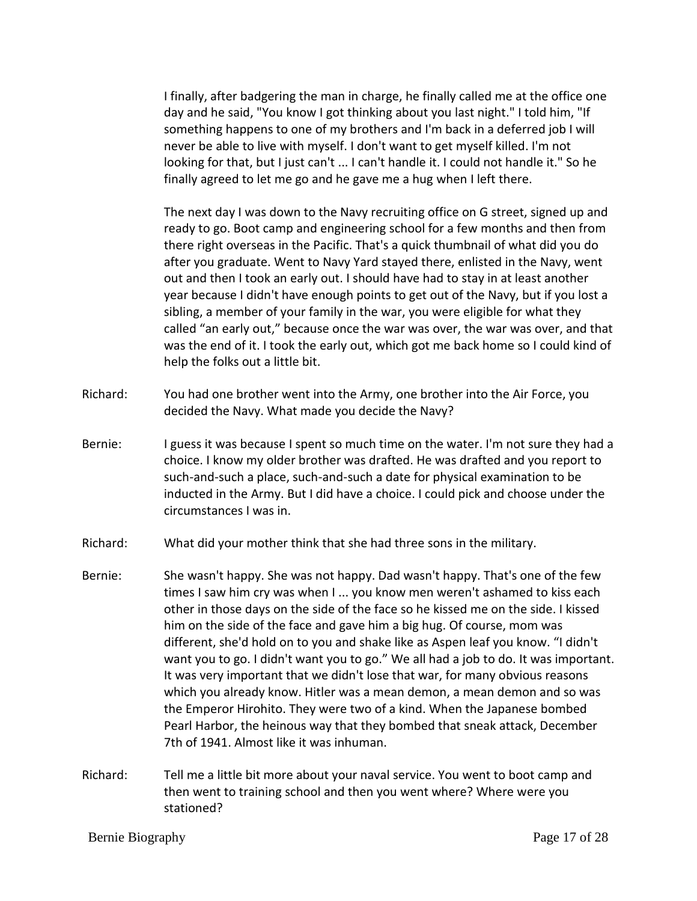I finally, after badgering the man in charge, he finally called me at the office one day and he said, "You know I got thinking about you last night." I told him, "If something happens to one of my brothers and I'm back in a deferred job I will never be able to live with myself. I don't want to get myself killed. I'm not looking for that, but I just can't ... I can't handle it. I could not handle it." So he finally agreed to let me go and he gave me a hug when I left there.

The next day I was down to the Navy recruiting office on G street, signed up and ready to go. Boot camp and engineering school for a few months and then from there right overseas in the Pacific. That's a quick thumbnail of what did you do after you graduate. Went to Navy Yard stayed there, enlisted in the Navy, went out and then I took an early out. I should have had to stay in at least another year because I didn't have enough points to get out of the Navy, but if you lost a sibling, a member of your family in the war, you were eligible for what they called "an early out," because once the war was over, the war was over, and that was the end of it. I took the early out, which got me back home so I could kind of help the folks out a little bit.

- Richard: You had one brother went into the Army, one brother into the Air Force, you decided the Navy. What made you decide the Navy?
- Bernie: I guess it was because I spent so much time on the water. I'm not sure they had a choice. I know my older brother was drafted. He was drafted and you report to such-and-such a place, such-and-such a date for physical examination to be inducted in the Army. But I did have a choice. I could pick and choose under the circumstances I was in.
- Richard: What did your mother think that she had three sons in the military.
- Bernie: She wasn't happy. She was not happy. Dad wasn't happy. That's one of the few times I saw him cry was when I ... you know men weren't ashamed to kiss each other in those days on the side of the face so he kissed me on the side. I kissed him on the side of the face and gave him a big hug. Of course, mom was different, she'd hold on to you and shake like as Aspen leaf you know. "I didn't want you to go. I didn't want you to go." We all had a job to do. It was important. It was very important that we didn't lose that war, for many obvious reasons which you already know. Hitler was a mean demon, a mean demon and so was the Emperor Hirohito. They were two of a kind. When the Japanese bombed Pearl Harbor, the heinous way that they bombed that sneak attack, December 7th of 1941. Almost like it was inhuman.
- Richard: Tell me a little bit more about your naval service. You went to boot camp and then went to training school and then you went where? Where were you stationed?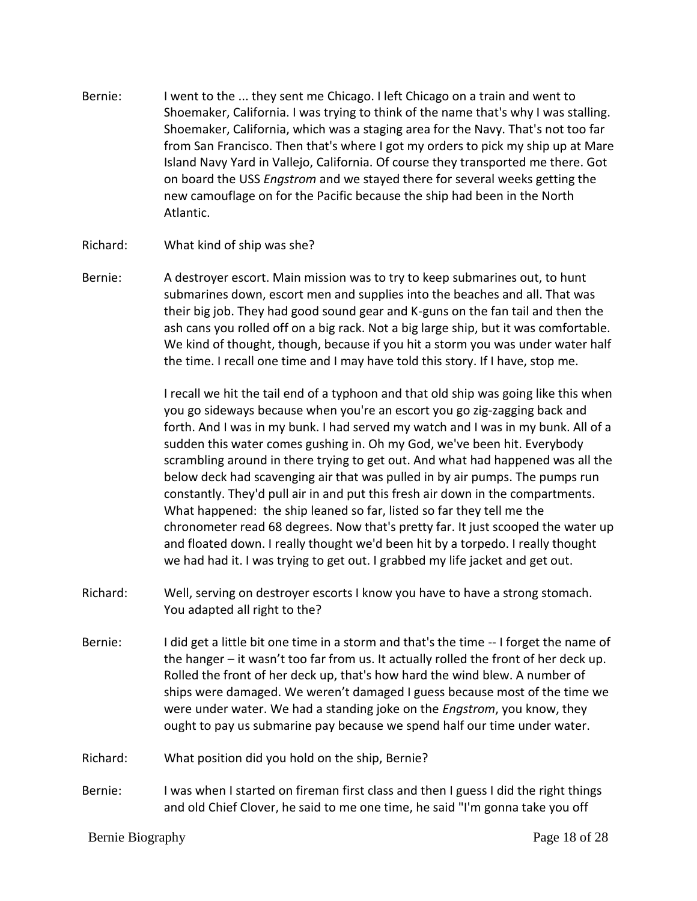- Bernie: I went to the ... they sent me Chicago. I left Chicago on a train and went to Shoemaker, California. I was trying to think of the name that's why I was stalling. Shoemaker, California, which was a staging area for the Navy. That's not too far from San Francisco. Then that's where I got my orders to pick my ship up at Mare Island Navy Yard in Vallejo, California. Of course they transported me there. Got on board the USS *Engstrom* and we stayed there for several weeks getting the new camouflage on for the Pacific because the ship had been in the North Atlantic.
- Richard: What kind of ship was she?
- Bernie: A destroyer escort. Main mission was to try to keep submarines out, to hunt submarines down, escort men and supplies into the beaches and all. That was their big job. They had good sound gear and K-guns on the fan tail and then the ash cans you rolled off on a big rack. Not a big large ship, but it was comfortable. We kind of thought, though, because if you hit a storm you was under water half the time. I recall one time and I may have told this story. If I have, stop me.

I recall we hit the tail end of a typhoon and that old ship was going like this when you go sideways because when you're an escort you go zig-zagging back and forth. And I was in my bunk. I had served my watch and I was in my bunk. All of a sudden this water comes gushing in. Oh my God, we've been hit. Everybody scrambling around in there trying to get out. And what had happened was all the below deck had scavenging air that was pulled in by air pumps. The pumps run constantly. They'd pull air in and put this fresh air down in the compartments. What happened: the ship leaned so far, listed so far they tell me the chronometer read 68 degrees. Now that's pretty far. It just scooped the water up and floated down. I really thought we'd been hit by a torpedo. I really thought we had had it. I was trying to get out. I grabbed my life jacket and get out.

- Richard: Well, serving on destroyer escorts I know you have to have a strong stomach. You adapted all right to the?
- Bernie: I did get a little bit one time in a storm and that's the time -- I forget the name of the hanger – it wasn't too far from us. It actually rolled the front of her deck up. Rolled the front of her deck up, that's how hard the wind blew. A number of ships were damaged. We weren't damaged I guess because most of the time we were under water. We had a standing joke on the *Engstrom*, you know, they ought to pay us submarine pay because we spend half our time under water.
- Richard: What position did you hold on the ship, Bernie?
- Bernie: I was when I started on fireman first class and then I guess I did the right things and old Chief Clover, he said to me one time, he said "I'm gonna take you off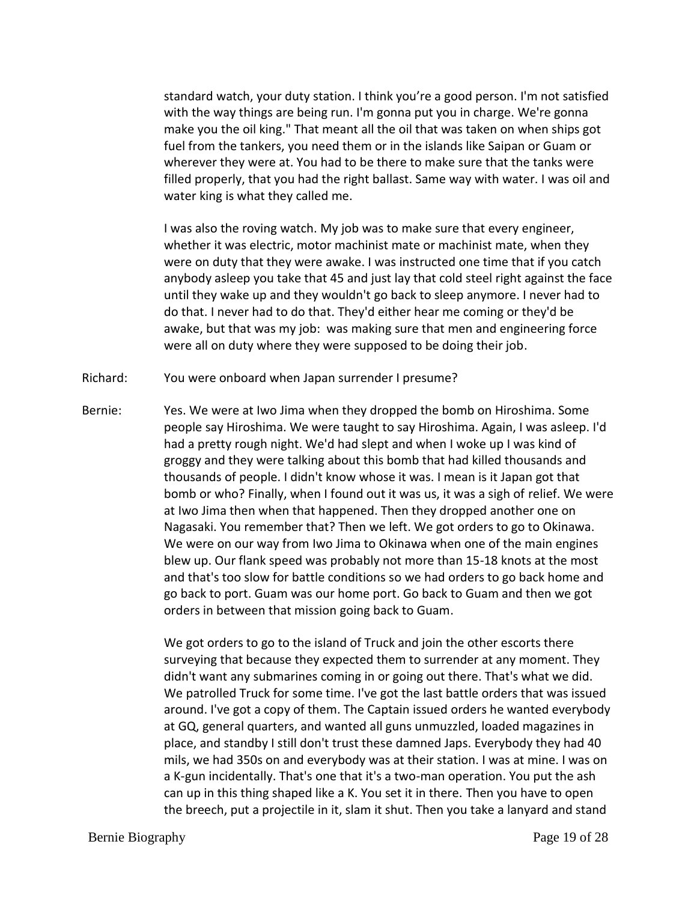standard watch, your duty station. I think you're a good person. I'm not satisfied with the way things are being run. I'm gonna put you in charge. We're gonna make you the oil king." That meant all the oil that was taken on when ships got fuel from the tankers, you need them or in the islands like Saipan or Guam or wherever they were at. You had to be there to make sure that the tanks were filled properly, that you had the right ballast. Same way with water. I was oil and water king is what they called me.

I was also the roving watch. My job was to make sure that every engineer, whether it was electric, motor machinist mate or machinist mate, when they were on duty that they were awake. I was instructed one time that if you catch anybody asleep you take that 45 and just lay that cold steel right against the face until they wake up and they wouldn't go back to sleep anymore. I never had to do that. I never had to do that. They'd either hear me coming or they'd be awake, but that was my job: was making sure that men and engineering force were all on duty where they were supposed to be doing their job.

- Richard: You were onboard when Japan surrender I presume?
- Bernie: Yes. We were at Iwo Jima when they dropped the bomb on Hiroshima. Some people say Hiroshima. We were taught to say Hiroshima. Again, I was asleep. I'd had a pretty rough night. We'd had slept and when I woke up I was kind of groggy and they were talking about this bomb that had killed thousands and thousands of people. I didn't know whose it was. I mean is it Japan got that bomb or who? Finally, when I found out it was us, it was a sigh of relief. We were at Iwo Jima then when that happened. Then they dropped another one on Nagasaki. You remember that? Then we left. We got orders to go to Okinawa. We were on our way from Iwo Jima to Okinawa when one of the main engines blew up. Our flank speed was probably not more than 15-18 knots at the most and that's too slow for battle conditions so we had orders to go back home and go back to port. Guam was our home port. Go back to Guam and then we got orders in between that mission going back to Guam.

We got orders to go to the island of Truck and join the other escorts there surveying that because they expected them to surrender at any moment. They didn't want any submarines coming in or going out there. That's what we did. We patrolled Truck for some time. I've got the last battle orders that was issued around. I've got a copy of them. The Captain issued orders he wanted everybody at GQ, general quarters, and wanted all guns unmuzzled, loaded magazines in place, and standby I still don't trust these damned Japs. Everybody they had 40 mils, we had 350s on and everybody was at their station. I was at mine. I was on a K-gun incidentally. That's one that it's a two-man operation. You put the ash can up in this thing shaped like a K. You set it in there. Then you have to open the breech, put a projectile in it, slam it shut. Then you take a lanyard and stand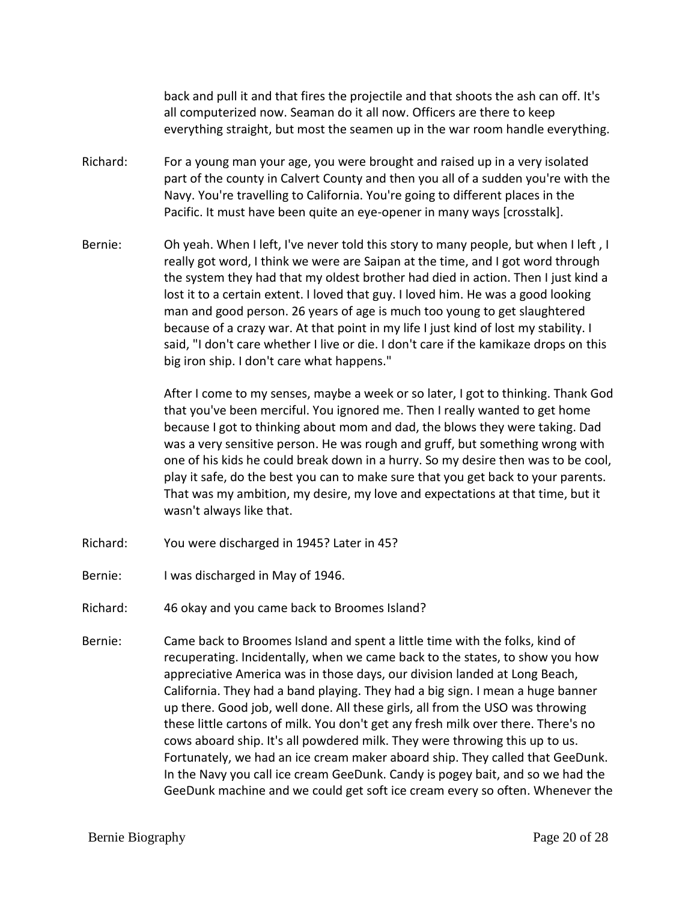back and pull it and that fires the projectile and that shoots the ash can off. It's all computerized now. Seaman do it all now. Officers are there to keep everything straight, but most the seamen up in the war room handle everything.

- Richard: For a young man your age, you were brought and raised up in a very isolated part of the county in Calvert County and then you all of a sudden you're with the Navy. You're travelling to California. You're going to different places in the Pacific. It must have been quite an eye-opener in many ways [crosstalk].
- Bernie: Oh yeah. When I left, I've never told this story to many people, but when I left, I really got word, I think we were are Saipan at the time, and I got word through the system they had that my oldest brother had died in action. Then I just kind a lost it to a certain extent. I loved that guy. I loved him. He was a good looking man and good person. 26 years of age is much too young to get slaughtered because of a crazy war. At that point in my life I just kind of lost my stability. I said, "I don't care whether I live or die. I don't care if the kamikaze drops on this big iron ship. I don't care what happens."

After I come to my senses, maybe a week or so later, I got to thinking. Thank God that you've been merciful. You ignored me. Then I really wanted to get home because I got to thinking about mom and dad, the blows they were taking. Dad was a very sensitive person. He was rough and gruff, but something wrong with one of his kids he could break down in a hurry. So my desire then was to be cool, play it safe, do the best you can to make sure that you get back to your parents. That was my ambition, my desire, my love and expectations at that time, but it wasn't always like that.

- Richard: You were discharged in 1945? Later in 45?
- Bernie: I was discharged in May of 1946.
- Richard: 46 okay and you came back to Broomes Island?
- Bernie: Came back to Broomes Island and spent a little time with the folks, kind of recuperating. Incidentally, when we came back to the states, to show you how appreciative America was in those days, our division landed at Long Beach, California. They had a band playing. They had a big sign. I mean a huge banner up there. Good job, well done. All these girls, all from the USO was throwing these little cartons of milk. You don't get any fresh milk over there. There's no cows aboard ship. It's all powdered milk. They were throwing this up to us. Fortunately, we had an ice cream maker aboard ship. They called that GeeDunk. In the Navy you call ice cream GeeDunk. Candy is pogey bait, and so we had the GeeDunk machine and we could get soft ice cream every so often. Whenever the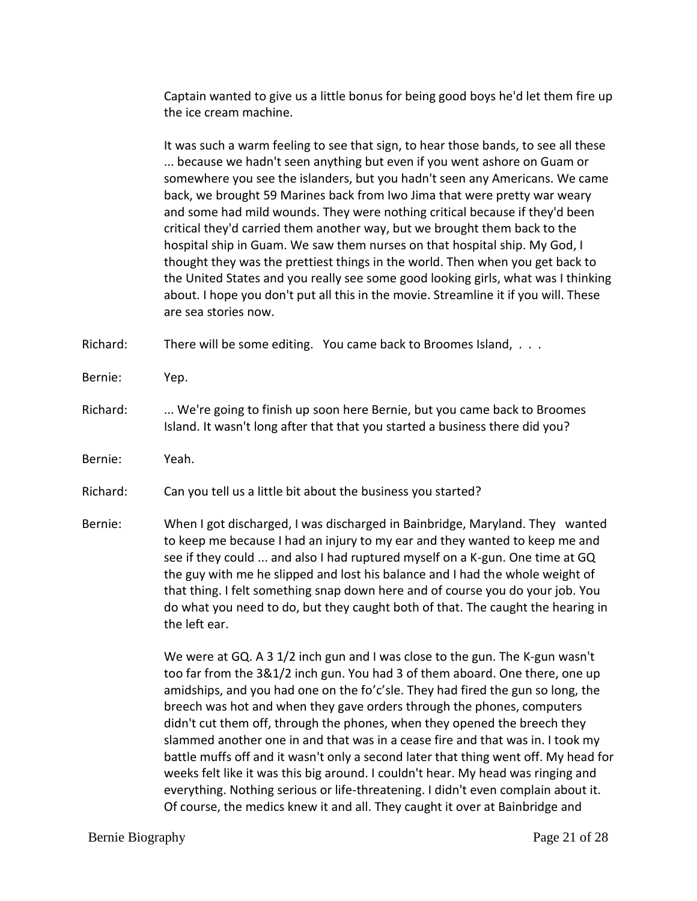Captain wanted to give us a little bonus for being good boys he'd let them fire up the ice cream machine.

It was such a warm feeling to see that sign, to hear those bands, to see all these ... because we hadn't seen anything but even if you went ashore on Guam or somewhere you see the islanders, but you hadn't seen any Americans. We came back, we brought 59 Marines back from Iwo Jima that were pretty war weary and some had mild wounds. They were nothing critical because if they'd been critical they'd carried them another way, but we brought them back to the hospital ship in Guam. We saw them nurses on that hospital ship. My God, I thought they was the prettiest things in the world. Then when you get back to the United States and you really see some good looking girls, what was I thinking about. I hope you don't put all this in the movie. Streamline it if you will. These are sea stories now.

Richard: There will be some editing. You came back to Broomes Island, . . .

- Bernie: Yep.
- Richard: ... We're going to finish up soon here Bernie, but you came back to Broomes Island. It wasn't long after that that you started a business there did you?
- Bernie: Yeah.

Richard: Can you tell us a little bit about the business you started?

Bernie: When I got discharged, I was discharged in Bainbridge, Maryland. They wanted to keep me because I had an injury to my ear and they wanted to keep me and see if they could ... and also I had ruptured myself on a K-gun. One time at GQ the guy with me he slipped and lost his balance and I had the whole weight of that thing. I felt something snap down here and of course you do your job. You do what you need to do, but they caught both of that. The caught the hearing in the left ear.

> We were at GQ. A 3 1/2 inch gun and I was close to the gun. The K-gun wasn't too far from the 3&1/2 inch gun. You had 3 of them aboard. One there, one up amidships, and you had one on the fo'c'sle. They had fired the gun so long, the breech was hot and when they gave orders through the phones, computers didn't cut them off, through the phones, when they opened the breech they slammed another one in and that was in a cease fire and that was in. I took my battle muffs off and it wasn't only a second later that thing went off. My head for weeks felt like it was this big around. I couldn't hear. My head was ringing and everything. Nothing serious or life-threatening. I didn't even complain about it. Of course, the medics knew it and all. They caught it over at Bainbridge and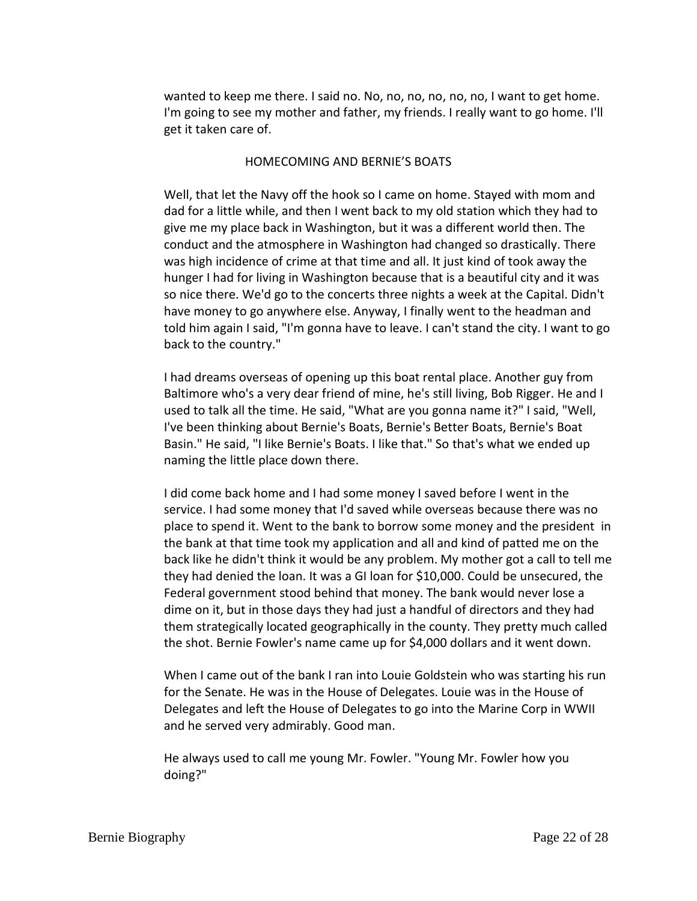wanted to keep me there. I said no. No, no, no, no, no, no, I want to get home. I'm going to see my mother and father, my friends. I really want to go home. I'll get it taken care of.

### HOMECOMING AND BERNIE'S BOATS

Well, that let the Navy off the hook so I came on home. Stayed with mom and dad for a little while, and then I went back to my old station which they had to give me my place back in Washington, but it was a different world then. The conduct and the atmosphere in Washington had changed so drastically. There was high incidence of crime at that time and all. It just kind of took away the hunger I had for living in Washington because that is a beautiful city and it was so nice there. We'd go to the concerts three nights a week at the Capital. Didn't have money to go anywhere else. Anyway, I finally went to the headman and told him again I said, "I'm gonna have to leave. I can't stand the city. I want to go back to the country."

I had dreams overseas of opening up this boat rental place. Another guy from Baltimore who's a very dear friend of mine, he's still living, Bob Rigger. He and I used to talk all the time. He said, "What are you gonna name it?" I said, "Well, I've been thinking about Bernie's Boats, Bernie's Better Boats, Bernie's Boat Basin." He said, "I like Bernie's Boats. I like that." So that's what we ended up naming the little place down there.

I did come back home and I had some money I saved before I went in the service. I had some money that I'd saved while overseas because there was no place to spend it. Went to the bank to borrow some money and the president in the bank at that time took my application and all and kind of patted me on the back like he didn't think it would be any problem. My mother got a call to tell me they had denied the loan. It was a GI loan for \$10,000. Could be unsecured, the Federal government stood behind that money. The bank would never lose a dime on it, but in those days they had just a handful of directors and they had them strategically located geographically in the county. They pretty much called the shot. Bernie Fowler's name came up for \$4,000 dollars and it went down.

When I came out of the bank I ran into Louie Goldstein who was starting his run for the Senate. He was in the House of Delegates. Louie was in the House of Delegates and left the House of Delegates to go into the Marine Corp in WWII and he served very admirably. Good man.

He always used to call me young Mr. Fowler. "Young Mr. Fowler how you doing?"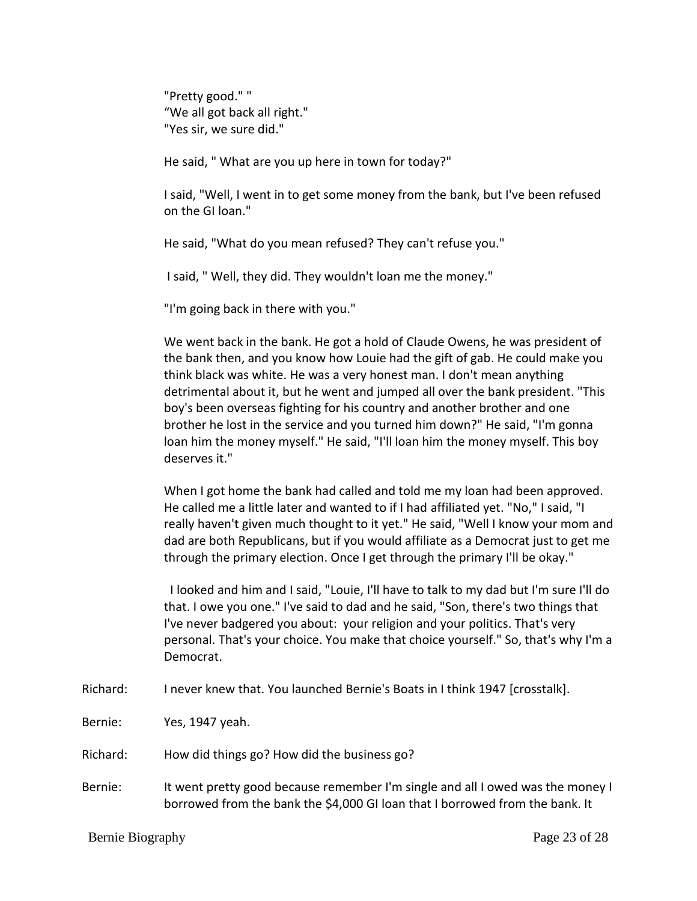"Pretty good." " "We all got back all right." "Yes sir, we sure did."

He said, " What are you up here in town for today?"

I said, "Well, I went in to get some money from the bank, but I've been refused on the GI loan."

He said, "What do you mean refused? They can't refuse you."

I said, " Well, they did. They wouldn't loan me the money."

"I'm going back in there with you."

We went back in the bank. He got a hold of Claude Owens, he was president of the bank then, and you know how Louie had the gift of gab. He could make you think black was white. He was a very honest man. I don't mean anything detrimental about it, but he went and jumped all over the bank president. "This boy's been overseas fighting for his country and another brother and one brother he lost in the service and you turned him down?" He said, "I'm gonna loan him the money myself." He said, "I'll loan him the money myself. This boy deserves it."

When I got home the bank had called and told me my loan had been approved. He called me a little later and wanted to if I had affiliated yet. "No," I said, "I really haven't given much thought to it yet." He said, "Well I know your mom and dad are both Republicans, but if you would affiliate as a Democrat just to get me through the primary election. Once I get through the primary I'll be okay."

 I looked and him and I said, "Louie, I'll have to talk to my dad but I'm sure I'll do that. I owe you one." I've said to dad and he said, "Son, there's two things that I've never badgered you about: your religion and your politics. That's very personal. That's your choice. You make that choice yourself." So, that's why I'm a Democrat.

- Richard: I never knew that. You launched Bernie's Boats in I think 1947 [crosstalk].
- Bernie: Yes, 1947 yeah.
- Richard: How did things go? How did the business go?
- Bernie: It went pretty good because remember I'm single and all I owed was the money I borrowed from the bank the \$4,000 GI loan that I borrowed from the bank. It

Bernie Biography Page 23 of 28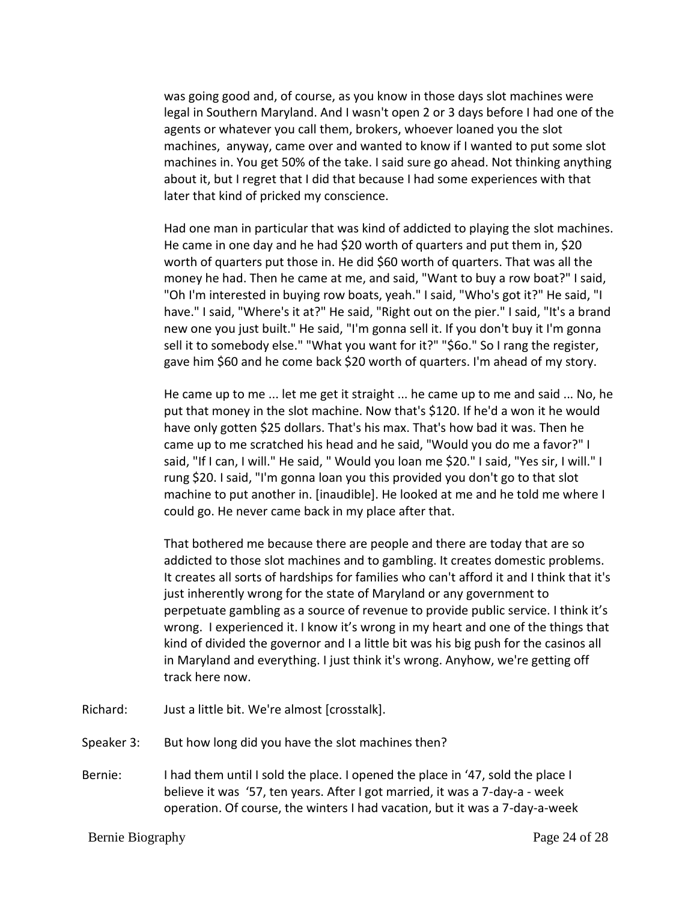was going good and, of course, as you know in those days slot machines were legal in Southern Maryland. And I wasn't open 2 or 3 days before I had one of the agents or whatever you call them, brokers, whoever loaned you the slot machines, anyway, came over and wanted to know if I wanted to put some slot machines in. You get 50% of the take. I said sure go ahead. Not thinking anything about it, but I regret that I did that because I had some experiences with that later that kind of pricked my conscience.

Had one man in particular that was kind of addicted to playing the slot machines. He came in one day and he had \$20 worth of quarters and put them in, \$20 worth of quarters put those in. He did \$60 worth of quarters. That was all the money he had. Then he came at me, and said, "Want to buy a row boat?" I said, "Oh I'm interested in buying row boats, yeah." I said, "Who's got it?" He said, "I have." I said, "Where's it at?" He said, "Right out on the pier." I said, "It's a brand new one you just built." He said, "I'm gonna sell it. If you don't buy it I'm gonna sell it to somebody else." "What you want for it?" "\$6o." So I rang the register, gave him \$60 and he come back \$20 worth of quarters. I'm ahead of my story.

He came up to me ... let me get it straight ... he came up to me and said ... No, he put that money in the slot machine. Now that's \$120. If he'd a won it he would have only gotten \$25 dollars. That's his max. That's how bad it was. Then he came up to me scratched his head and he said, "Would you do me a favor?" I said, "If I can, I will." He said, " Would you loan me \$20." I said, "Yes sir, I will." I rung \$20. I said, "I'm gonna loan you this provided you don't go to that slot machine to put another in. [inaudible]. He looked at me and he told me where I could go. He never came back in my place after that.

That bothered me because there are people and there are today that are so addicted to those slot machines and to gambling. It creates domestic problems. It creates all sorts of hardships for families who can't afford it and I think that it's just inherently wrong for the state of Maryland or any government to perpetuate gambling as a source of revenue to provide public service. I think it's wrong. I experienced it. I know it's wrong in my heart and one of the things that kind of divided the governor and I a little bit was his big push for the casinos all in Maryland and everything. I just think it's wrong. Anyhow, we're getting off track here now.

- Richard: Just a little bit. We're almost [crosstalk].
- Speaker 3: But how long did you have the slot machines then?
- Bernie: I had them until I sold the place. I opened the place in '47, sold the place I believe it was '57, ten years. After I got married, it was a 7-day-a - week operation. Of course, the winters I had vacation, but it was a 7-day-a-week

Bernie Biography Page 24 of 28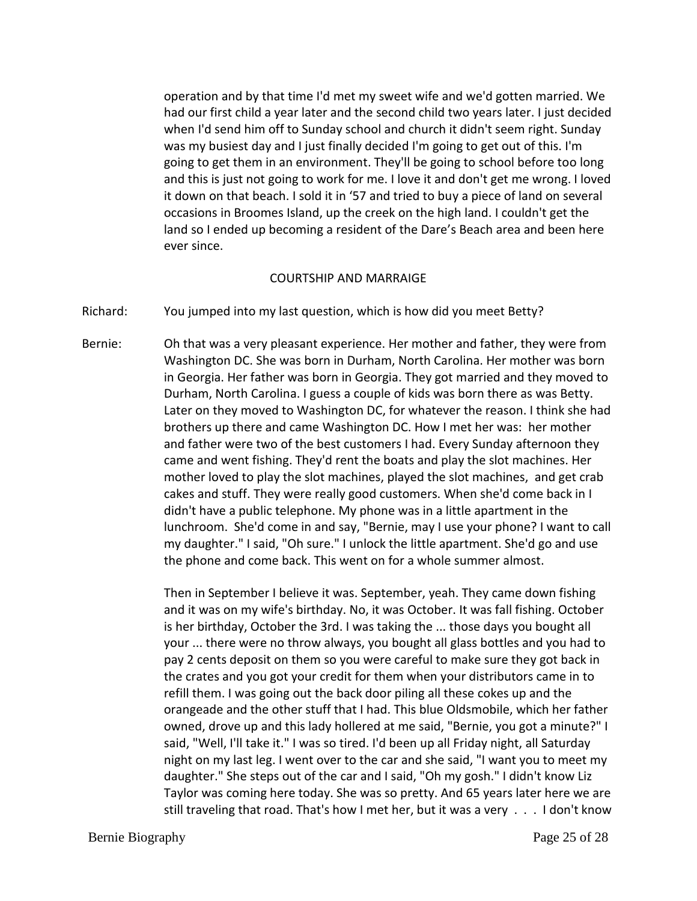operation and by that time I'd met my sweet wife and we'd gotten married. We had our first child a year later and the second child two years later. I just decided when I'd send him off to Sunday school and church it didn't seem right. Sunday was my busiest day and I just finally decided I'm going to get out of this. I'm going to get them in an environment. They'll be going to school before too long and this is just not going to work for me. I love it and don't get me wrong. I loved it down on that beach. I sold it in '57 and tried to buy a piece of land on several occasions in Broomes Island, up the creek on the high land. I couldn't get the land so I ended up becoming a resident of the Dare's Beach area and been here ever since.

#### COURTSHIP AND MARRAIGE

Richard: You jumped into my last question, which is how did you meet Betty?

Bernie: Oh that was a very pleasant experience. Her mother and father, they were from Washington DC. She was born in Durham, North Carolina. Her mother was born in Georgia. Her father was born in Georgia. They got married and they moved to Durham, North Carolina. I guess a couple of kids was born there as was Betty. Later on they moved to Washington DC, for whatever the reason. I think she had brothers up there and came Washington DC. How I met her was: her mother and father were two of the best customers I had. Every Sunday afternoon they came and went fishing. They'd rent the boats and play the slot machines. Her mother loved to play the slot machines, played the slot machines, and get crab cakes and stuff. They were really good customers. When she'd come back in I didn't have a public telephone. My phone was in a little apartment in the lunchroom. She'd come in and say, "Bernie, may I use your phone? I want to call my daughter." I said, "Oh sure." I unlock the little apartment. She'd go and use the phone and come back. This went on for a whole summer almost.

> Then in September I believe it was. September, yeah. They came down fishing and it was on my wife's birthday. No, it was October. It was fall fishing. October is her birthday, October the 3rd. I was taking the ... those days you bought all your ... there were no throw always, you bought all glass bottles and you had to pay 2 cents deposit on them so you were careful to make sure they got back in the crates and you got your credit for them when your distributors came in to refill them. I was going out the back door piling all these cokes up and the orangeade and the other stuff that I had. This blue Oldsmobile, which her father owned, drove up and this lady hollered at me said, "Bernie, you got a minute?" I said, "Well, I'll take it." I was so tired. I'd been up all Friday night, all Saturday night on my last leg. I went over to the car and she said, "I want you to meet my daughter." She steps out of the car and I said, "Oh my gosh." I didn't know Liz Taylor was coming here today. She was so pretty. And 65 years later here we are still traveling that road. That's how I met her, but it was a very . . . I don't know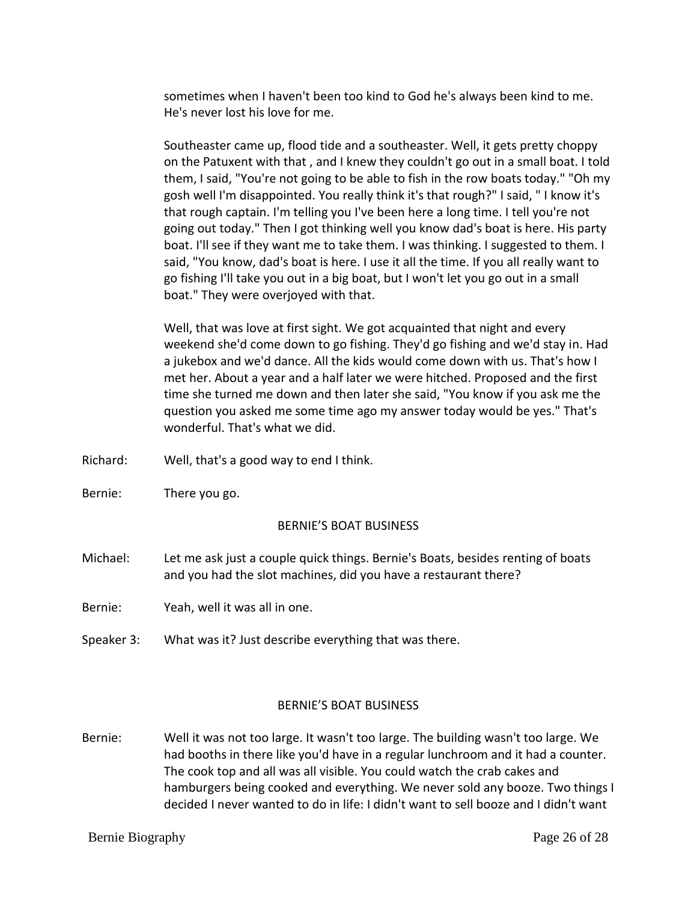sometimes when I haven't been too kind to God he's always been kind to me. He's never lost his love for me.

Southeaster came up, flood tide and a southeaster. Well, it gets pretty choppy on the Patuxent with that , and I knew they couldn't go out in a small boat. I told them, I said, "You're not going to be able to fish in the row boats today." "Oh my gosh well I'm disappointed. You really think it's that rough?" I said, " I know it's that rough captain. I'm telling you I've been here a long time. I tell you're not going out today." Then I got thinking well you know dad's boat is here. His party boat. I'll see if they want me to take them. I was thinking. I suggested to them. I said, "You know, dad's boat is here. I use it all the time. If you all really want to go fishing I'll take you out in a big boat, but I won't let you go out in a small boat." They were overjoyed with that.

Well, that was love at first sight. We got acquainted that night and every weekend she'd come down to go fishing. They'd go fishing and we'd stay in. Had a jukebox and we'd dance. All the kids would come down with us. That's how I met her. About a year and a half later we were hitched. Proposed and the first time she turned me down and then later she said, "You know if you ask me the question you asked me some time ago my answer today would be yes." That's wonderful. That's what we did.

- Richard: Well, that's a good way to end I think.
- Bernie: There you go.

### BERNIE'S BOAT BUSINESS

- Michael: Let me ask just a couple quick things. Bernie's Boats, besides renting of boats and you had the slot machines, did you have a restaurant there?
- Bernie: Yeah, well it was all in one.
- Speaker 3: What was it? Just describe everything that was there.

#### BERNIE'S BOAT BUSINESS

Bernie: Well it was not too large. It wasn't too large. The building wasn't too large. We had booths in there like you'd have in a regular lunchroom and it had a counter. The cook top and all was all visible. You could watch the crab cakes and hamburgers being cooked and everything. We never sold any booze. Two things I decided I never wanted to do in life: I didn't want to sell booze and I didn't want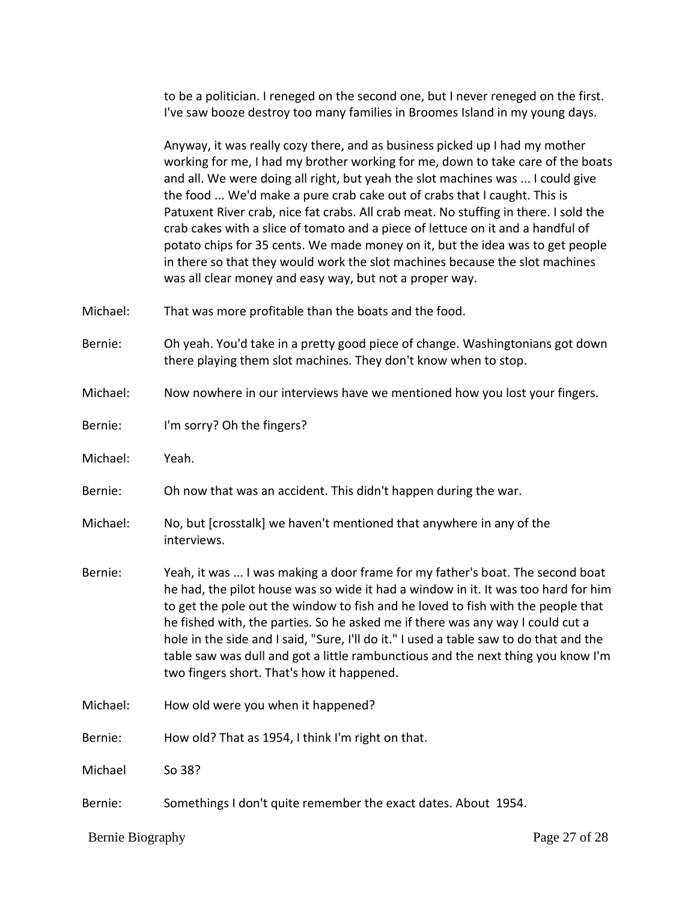to be a politician. I reneged on the second one, but I never reneged on the first. I've saw booze destroy too many families in Broomes Island in my young days.

Anyway, it was really cozy there, and as business picked up I had my mother working for me, I had my brother working for me, down to take care of the boats and all. We were doing all right, but yeah the slot machines was ... I could give the food ... We'd make a pure crab cake out of crabs that I caught. This is Patuxent River crab, nice fat crabs. All crab meat. No stuffing in there. I sold the crab cakes with a slice of tomato and a piece of lettuce on it and a handful of potato chips for 35 cents. We made money on it, but the idea was to get people in there so that they would work the slot machines because the slot machines was all clear money and easy way, but not a proper way.

Michael: That was more profitable than the boats and the food.

Bernie: Oh yeah. You'd take in a pretty good piece of change. Washingtonians got down there playing them slot machines. They don't know when to stop.

Michael: Now nowhere in our interviews have we mentioned how you lost your fingers.

Bernie: I'm sorry? Oh the fingers?

Michael: Yeah.

Bernie: Oh now that was an accident. This didn't happen during the war.

Michael: No, but [crosstalk] we haven't mentioned that anywhere in any of the interviews.

- Bernie: Yeah, it was ... I was making a door frame for my father's boat. The second boat he had, the pilot house was so wide it had a window in it. It was too hard for him to get the pole out the window to fish and he loved to fish with the people that he fished with, the parties. So he asked me if there was any way I could cut a hole in the side and I said, "Sure, I'll do it." I used a table saw to do that and the table saw was dull and got a little rambunctious and the next thing you know I'm two fingers short. That's how it happened.
- Michael: How old were you when it happened?

Bernie: How old? That as 1954, I think I'm right on that.

Michael So 38?

Bernie: Somethings I don't quite remember the exact dates. About 1954.

Bernie Biography Page 27 of 28